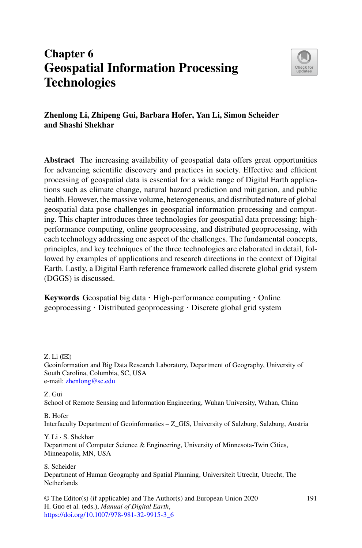# **Chapter 6 Geospatial Information Processing Technologies**



**Zhenlong Li, Zhipeng Gui, Barbara Hofer, Yan Li, Simon Scheider and Shashi Shekhar**

**Abstract** The increasing availability of geospatial data offers great opportunities for advancing scientific discovery and practices in society. Effective and efficient processing of geospatial data is essential for a wide range of Digital Earth applications such as climate change, natural hazard prediction and mitigation, and public health. However, the massive volume, heterogeneous, and distributed nature of global geospatial data pose challenges in geospatial information processing and computing. This chapter introduces three technologies for geospatial data processing: highperformance computing, online geoprocessing, and distributed geoprocessing, with each technology addressing one aspect of the challenges. The fundamental concepts, principles, and key techniques of the three technologies are elaborated in detail, followed by examples of applications and research directions in the context of Digital Earth. Lastly, a Digital Earth reference framework called discrete global grid system (DGGS) is discussed.

**Keywords** Geospatial big data · High-performance computing · Online geoprocessing · Distributed geoprocessing · Discrete global grid system

Z. Li  $(\boxtimes)$ 

Z. Gui

School of Remote Sensing and Information Engineering, Wuhan University, Wuhan, China

B. Hofer

Interfaculty Department of Geoinformatics – Z\_GIS, University of Salzburg, Salzburg, Austria

Y. Li · S. Shekhar Department of Computer Science & Engineering, University of Minnesota-Twin Cities, Minneapolis, MN, USA

S. Scheider

Geoinformation and Big Data Research Laboratory, Department of Geography, University of South Carolina, Columbia, SC, USA e-mail: [zhenlong@sc.edu](mailto:zhenlong@sc.edu)

Department of Human Geography and Spatial Planning, Universiteit Utrecht, Utrecht, The Netherlands

<sup>©</sup> The Editor(s) (if applicable) and The Author(s) and European Union 2020 H. Guo et al. (eds.), *Manual of Digital Earth*, [https://doi.org/10.1007/978-981-32-9915-3\\_6](https://doi.org/10.1007/978-981-32-9915-3_6)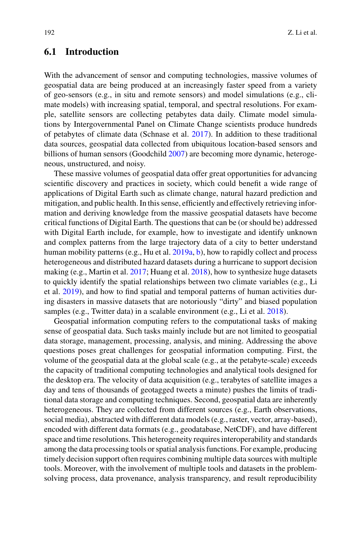## **6.1 Introduction**

With the advancement of sensor and computing technologies, massive volumes of geospatial data are being produced at an increasingly faster speed from a variety of geo-sensors (e.g., in situ and remote sensors) and model simulations (e.g., climate models) with increasing spatial, temporal, and spectral resolutions. For example, satellite sensors are collecting petabytes data daily. Climate model simulations by Intergovernmental Panel on Climate Change scientists produce hundreds of petabytes of climate data (Schnase et al. [2017\)](#page-33-0). In addition to these traditional data sources, geospatial data collected from ubiquitous location-based sensors and billions of human sensors (Goodchild [2007\)](#page-30-0) are becoming more dynamic, heterogeneous, unstructured, and noisy.

These massive volumes of geospatial data offer great opportunities for advancing scientific discovery and practices in society, which could benefit a wide range of applications of Digital Earth such as climate change, natural hazard prediction and mitigation, and public health. In this sense, efficiently and effectively retrieving information and deriving knowledge from the massive geospatial datasets have become critical functions of Digital Earth. The questions that can be (or should be) addressed with Digital Earth include, for example, how to investigate and identify unknown and complex patterns from the large trajectory data of a city to better understand human mobility patterns (e.g., Hu et al. [2019a,](#page-31-0) [b\)](#page-31-1), how to rapidly collect and process heterogeneous and distributed hazard datasets during a hurricane to support decision making (e.g., Martin et al. [2017;](#page-32-0) Huang et al. [2018\)](#page-31-2), how to synthesize huge datasets to quickly identify the spatial relationships between two climate variables (e.g., Li et al. [2019\)](#page-32-1), and how to find spatial and temporal patterns of human activities during disasters in massive datasets that are notoriously "dirty" and biased population samples (e.g., Twitter data) in a scalable environment (e.g., Li et al. [2018\)](#page-32-2).

Geospatial information computing refers to the computational tasks of making sense of geospatial data. Such tasks mainly include but are not limited to geospatial data storage, management, processing, analysis, and mining. Addressing the above questions poses great challenges for geospatial information computing. First, the volume of the geospatial data at the global scale (e.g., at the petabyte-scale) exceeds the capacity of traditional computing technologies and analytical tools designed for the desktop era. The velocity of data acquisition (e.g., terabytes of satellite images a day and tens of thousands of geotagged tweets a minute) pushes the limits of traditional data storage and computing techniques. Second, geospatial data are inherently heterogeneous. They are collected from different sources (e.g., Earth observations, social media), abstracted with different data models (e.g., raster, vector, array-based), encoded with different data formats (e.g., geodatabase, NetCDF), and have different space and time resolutions. This heterogeneity requires interoperability and standards among the data processing tools or spatial analysis functions. For example, producing timely decision support often requires combining multiple data sources with multiple tools. Moreover, with the involvement of multiple tools and datasets in the problemsolving process, data provenance, analysis transparency, and result reproducibility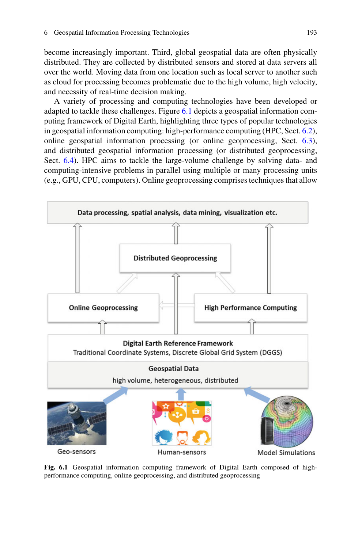become increasingly important. Third, global geospatial data are often physically distributed. They are collected by distributed sensors and stored at data servers all over the world. Moving data from one location such as local server to another such as cloud for processing becomes problematic due to the high volume, high velocity, and necessity of real-time decision making.

A variety of processing and computing technologies have been developed or adapted to tackle these challenges. Figure [6.1](#page-2-0) depicts a geospatial information computing framework of Digital Earth, highlighting three types of popular technologies in geospatial information computing: high-performance computing (HPC, Sect. [6.2\)](#page-3-0), online geospatial information processing (or online geoprocessing, Sect. [6.3\)](#page-10-0), and distributed geospatial information processing (or distributed geoprocessing, Sect. [6.4\)](#page-17-0). HPC aims to tackle the large-volume challenge by solving data- and computing-intensive problems in parallel using multiple or many processing units (e.g., GPU, CPU, computers). Online geoprocessing comprises techniques that allow



<span id="page-2-0"></span>**Fig. 6.1** Geospatial information computing framework of Digital Earth composed of highperformance computing, online geoprocessing, and distributed geoprocessing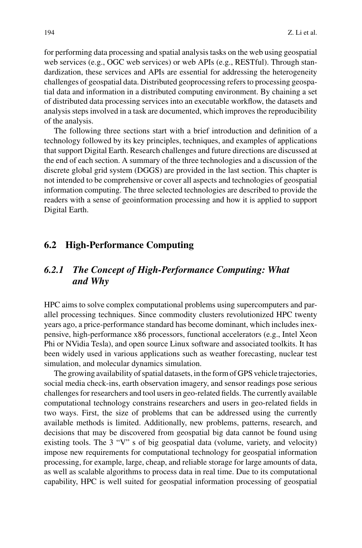for performing data processing and spatial analysis tasks on the web using geospatial web services (e.g., OGC web services) or web APIs (e.g., RESTful). Through standardization, these services and APIs are essential for addressing the heterogeneity challenges of geospatial data. Distributed geoprocessing refers to processing geospatial data and information in a distributed computing environment. By chaining a set of distributed data processing services into an executable workflow, the datasets and analysis steps involved in a task are documented, which improves the reproducibility of the analysis.

The following three sections start with a brief introduction and definition of a technology followed by its key principles, techniques, and examples of applications that support Digital Earth. Research challenges and future directions are discussed at the end of each section. A summary of the three technologies and a discussion of the discrete global grid system (DGGS) are provided in the last section. This chapter is not intended to be comprehensive or cover all aspects and technologies of geospatial information computing. The three selected technologies are described to provide the readers with a sense of geoinformation processing and how it is applied to support Digital Earth.

### <span id="page-3-0"></span>**6.2 High-Performance Computing**

# *6.2.1 The Concept of High-Performance Computing: What and Why*

HPC aims to solve complex computational problems using supercomputers and parallel processing techniques. Since commodity clusters revolutionized HPC twenty years ago, a price-performance standard has become dominant, which includes inexpensive, high-performance x86 processors, functional accelerators (e.g., Intel Xeon Phi or NVidia Tesla), and open source Linux software and associated toolkits. It has been widely used in various applications such as weather forecasting, nuclear test simulation, and molecular dynamics simulation.

The growing availability of spatial datasets, in the form of GPS vehicle trajectories, social media check-ins, earth observation imagery, and sensor readings pose serious challenges for researchers and tool users in geo-related fields. The currently available computational technology constrains researchers and users in geo-related fields in two ways. First, the size of problems that can be addressed using the currently available methods is limited. Additionally, new problems, patterns, research, and decisions that may be discovered from geospatial big data cannot be found using existing tools. The 3 "V" s of big geospatial data (volume, variety, and velocity) impose new requirements for computational technology for geospatial information processing, for example, large, cheap, and reliable storage for large amounts of data, as well as scalable algorithms to process data in real time. Due to its computational capability, HPC is well suited for geospatial information processing of geospatial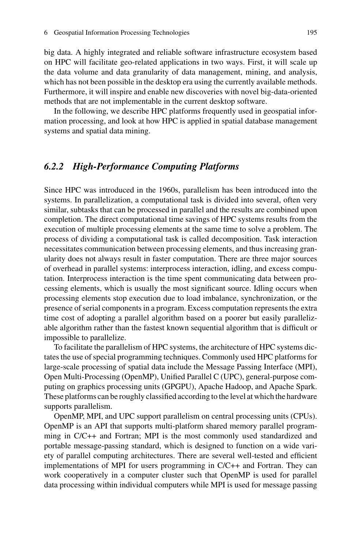big data. A highly integrated and reliable software infrastructure ecosystem based on HPC will facilitate geo-related applications in two ways. First, it will scale up the data volume and data granularity of data management, mining, and analysis, which has not been possible in the desktop era using the currently available methods. Furthermore, it will inspire and enable new discoveries with novel big-data-oriented methods that are not implementable in the current desktop software.

In the following, we describe HPC platforms frequently used in geospatial information processing, and look at how HPC is applied in spatial database management systems and spatial data mining.

#### *6.2.2 High-Performance Computing Platforms*

Since HPC was introduced in the 1960s, parallelism has been introduced into the systems. In parallelization, a computational task is divided into several, often very similar, subtasks that can be processed in parallel and the results are combined upon completion. The direct computational time savings of HPC systems results from the execution of multiple processing elements at the same time to solve a problem. The process of dividing a computational task is called decomposition. Task interaction necessitates communication between processing elements, and thus increasing granularity does not always result in faster computation. There are three major sources of overhead in parallel systems: interprocess interaction, idling, and excess computation. Interprocess interaction is the time spent communicating data between processing elements, which is usually the most significant source. Idling occurs when processing elements stop execution due to load imbalance, synchronization, or the presence of serial components in a program. Excess computation represents the extra time cost of adopting a parallel algorithm based on a poorer but easily parallelizable algorithm rather than the fastest known sequential algorithm that is difficult or impossible to parallelize.

To facilitate the parallelism of HPC systems, the architecture of HPC systems dictates the use of special programming techniques. Commonly used HPC platforms for large-scale processing of spatial data include the Message Passing Interface (MPI), Open Multi-Processing (OpenMP), Unified Parallel C (UPC), general-purpose computing on graphics processing units (GPGPU), Apache Hadoop, and Apache Spark. These platforms can be roughly classified according to the level at which the hardware supports parallelism.

OpenMP, MPI, and UPC support parallelism on central processing units (CPUs). OpenMP is an API that supports multi-platform shared memory parallel programming in C/C++ and Fortran; MPI is the most commonly used standardized and portable message-passing standard, which is designed to function on a wide variety of parallel computing architectures. There are several well-tested and efficient implementations of MPI for users programming in C/C++ and Fortran. They can work cooperatively in a computer cluster such that OpenMP is used for parallel data processing within individual computers while MPI is used for message passing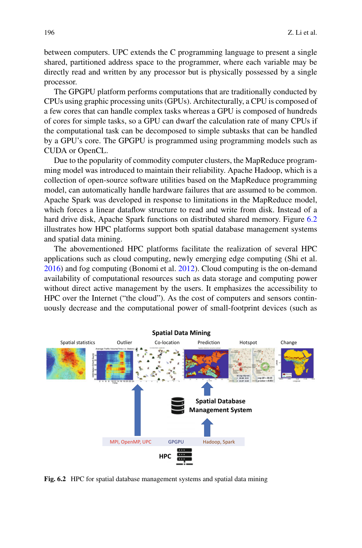between computers. UPC extends the C programming language to present a single shared, partitioned address space to the programmer, where each variable may be directly read and written by any processor but is physically possessed by a single processor.

The GPGPU platform performs computations that are traditionally conducted by CPUs using graphic processing units (GPUs). Architecturally, a CPU is composed of a few cores that can handle complex tasks whereas a GPU is composed of hundreds of cores for simple tasks, so a GPU can dwarf the calculation rate of many CPUs if the computational task can be decomposed to simple subtasks that can be handled by a GPU's core. The GPGPU is programmed using programming models such as CUDA or OpenCL.

Due to the popularity of commodity computer clusters, the MapReduce programming model was introduced to maintain their reliability. Apache Hadoop, which is a collection of open-source software utilities based on the MapReduce programming model, can automatically handle hardware failures that are assumed to be common. Apache Spark was developed in response to limitations in the MapReduce model, which forces a linear dataflow structure to read and write from disk. Instead of a hard drive disk, Apache Spark functions on distributed shared memory. Figure [6.2](#page-5-0) illustrates how HPC platforms support both spatial database management systems and spatial data mining.

The abovementioned HPC platforms facilitate the realization of several HPC applications such as cloud computing, newly emerging edge computing (Shi et al. [2016\)](#page-34-0) and fog computing (Bonomi et al. [2012\)](#page-30-1). Cloud computing is the on-demand availability of computational resources such as data storage and computing power without direct active management by the users. It emphasizes the accessibility to HPC over the Internet ("the cloud"). As the cost of computers and sensors continuously decrease and the computational power of small-footprint devices (such as



<span id="page-5-0"></span>**Fig. 6.2** HPC for spatial database management systems and spatial data mining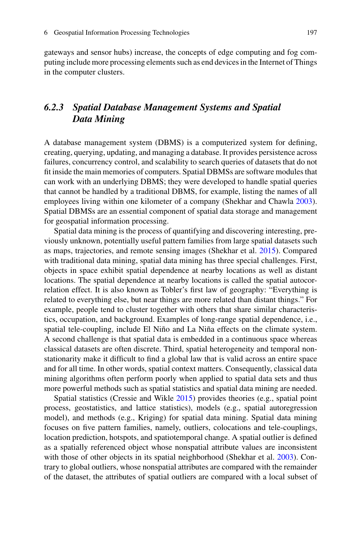gateways and sensor hubs) increase, the concepts of edge computing and fog computing include more processing elements such as end devices in the Internet of Things in the computer clusters.

# *6.2.3 Spatial Database Management Systems and Spatial Data Mining*

A database management system (DBMS) is a computerized system for defining, creating, querying, updating, and managing a database. It provides persistence across failures, concurrency control, and scalability to search queries of datasets that do not fit inside the main memories of computers. Spatial DBMSs are software modules that can work with an underlying DBMS; they were developed to handle spatial queries that cannot be handled by a traditional DBMS, for example, listing the names of all employees living within one kilometer of a company (Shekhar and Chawla [2003\)](#page-33-1). Spatial DBMSs are an essential component of spatial data storage and management for geospatial information processing.

Spatial data mining is the process of quantifying and discovering interesting, previously unknown, potentially useful pattern families from large spatial datasets such as maps, trajectories, and remote sensing images (Shekhar et al. [2015\)](#page-33-2). Compared with traditional data mining, spatial data mining has three special challenges. First, objects in space exhibit spatial dependence at nearby locations as well as distant locations. The spatial dependence at nearby locations is called the spatial autocorrelation effect. It is also known as Tobler's first law of geography: "Everything is related to everything else, but near things are more related than distant things." For example, people tend to cluster together with others that share similar characteristics, occupation, and background. Examples of long-range spatial dependence, i.e., spatial tele-coupling, include El Niño and La Niña effects on the climate system. A second challenge is that spatial data is embedded in a continuous space whereas classical datasets are often discrete. Third, spatial heterogeneity and temporal nonstationarity make it difficult to find a global law that is valid across an entire space and for all time. In other words, spatial context matters. Consequently, classical data mining algorithms often perform poorly when applied to spatial data sets and thus more powerful methods such as spatial statistics and spatial data mining are needed.

Spatial statistics (Cressie and Wikle [2015\)](#page-30-2) provides theories (e.g., spatial point process, geostatistics, and lattice statistics), models (e.g., spatial autoregression model), and methods (e.g., Kriging) for spatial data mining. Spatial data mining focuses on five pattern families, namely, outliers, colocations and tele-couplings, location prediction, hotspots, and spatiotemporal change. A spatial outlier is defined as a spatially referenced object whose nonspatial attribute values are inconsistent with those of other objects in its spatial neighborhood (Shekhar et al. [2003\)](#page-33-3). Contrary to global outliers, whose nonspatial attributes are compared with the remainder of the dataset, the attributes of spatial outliers are compared with a local subset of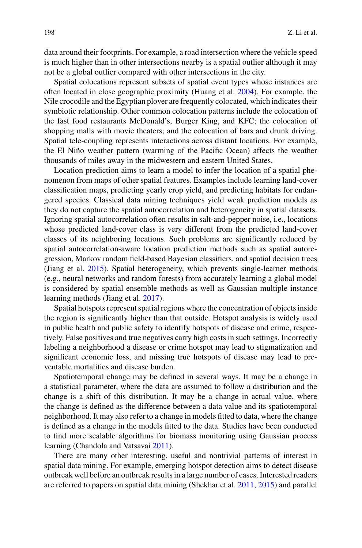data around their footprints. For example, a road intersection where the vehicle speed is much higher than in other intersections nearby is a spatial outlier although it may not be a global outlier compared with other intersections in the city.

Spatial colocations represent subsets of spatial event types whose instances are often located in close geographic proximity (Huang et al. [2004\)](#page-31-3). For example, the Nile crocodile and the Egyptian plover are frequently colocated, which indicates their symbiotic relationship. Other common colocation patterns include the colocation of the fast food restaurants McDonald's, Burger King, and KFC; the colocation of shopping malls with movie theaters; and the colocation of bars and drunk driving. Spatial tele-coupling represents interactions across distant locations. For example, the El Niño weather pattern (warming of the Pacific Ocean) affects the weather thousands of miles away in the midwestern and eastern United States.

Location prediction aims to learn a model to infer the location of a spatial phenomenon from maps of other spatial features. Examples include learning land-cover classification maps, predicting yearly crop yield, and predicting habitats for endangered species. Classical data mining techniques yield weak prediction models as they do not capture the spatial autocorrelation and heterogeneity in spatial datasets. Ignoring spatial autocorrelation often results in salt-and-pepper noise, i.e., locations whose predicted land-cover class is very different from the predicted land-cover classes of its neighboring locations. Such problems are significantly reduced by spatial autocorrelation-aware location prediction methods such as spatial autoregression, Markov random field-based Bayesian classifiers, and spatial decision trees (Jiang et al. [2015\)](#page-31-4). Spatial heterogeneity, which prevents single-learner methods (e.g., neural networks and random forests) from accurately learning a global model is considered by spatial ensemble methods as well as Gaussian multiple instance learning methods (Jiang et al. [2017\)](#page-31-5).

Spatial hotspots represent spatial regions where the concentration of objects inside the region is significantly higher than that outside. Hotspot analysis is widely used in public health and public safety to identify hotspots of disease and crime, respectively. False positives and true negatives carry high costs in such settings. Incorrectly labeling a neighborhood a disease or crime hotspot may lead to stigmatization and significant economic loss, and missing true hotspots of disease may lead to preventable mortalities and disease burden.

Spatiotemporal change may be defined in several ways. It may be a change in a statistical parameter, where the data are assumed to follow a distribution and the change is a shift of this distribution. It may be a change in actual value, where the change is defined as the difference between a data value and its spatiotemporal neighborhood. It may also refer to a change in models fitted to data, where the change is defined as a change in the models fitted to the data. Studies have been conducted to find more scalable algorithms for biomass monitoring using Gaussian process learning (Chandola and Vatsavai [2011\)](#page-30-3).

There are many other interesting, useful and nontrivial patterns of interest in spatial data mining. For example, emerging hotspot detection aims to detect disease outbreak well before an outbreak results in a large number of cases. Interested readers are referred to papers on spatial data mining (Shekhar et al. [2011,](#page-33-4) [2015\)](#page-33-2) and parallel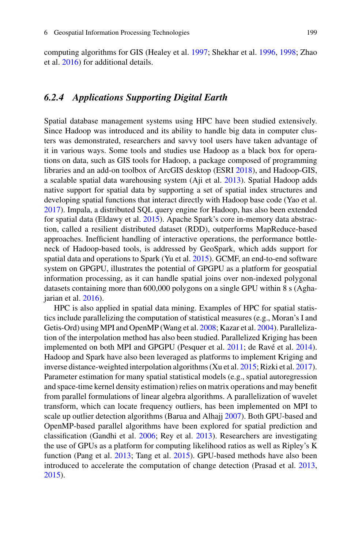computing algorithms for GIS (Healey et al. [1997;](#page-31-6) Shekhar et al. [1996,](#page-33-5) [1998;](#page-33-6) Zhao et al. [2016\)](#page-35-0) for additional details.

### *6.2.4 Applications Supporting Digital Earth*

Spatial database management systems using HPC have been studied extensively. Since Hadoop was introduced and its ability to handle big data in computer clusters was demonstrated, researchers and savvy tool users have taken advantage of it in various ways. Some tools and studies use Hadoop as a black box for operations on data, such as GIS tools for Hadoop, a package composed of programming libraries and an add-on toolbox of ArcGIS desktop (ESRI [2018\)](#page-30-4), and Hadoop-GIS, a scalable spatial data warehousing system (Aji et al. [2013\)](#page-29-0). Spatial Hadoop adds native support for spatial data by supporting a set of spatial index structures and developing spatial functions that interact directly with Hadoop base code (Yao et al. [2017\)](#page-34-1). Impala, a distributed SQL query engine for Hadoop, has also been extended for spatial data (Eldawy et al. [2015\)](#page-30-5). Apache Spark's core in-memory data abstraction, called a resilient distributed dataset (RDD), outperforms MapReduce-based approaches. Inefficient handling of interactive operations, the performance bottleneck of Hadoop-based tools, is addressed by GeoSpark, which adds support for spatial data and operations to Spark (Yu et al. [2015\)](#page-34-2). GCMF, an end-to-end software system on GPGPU, illustrates the potential of GPGPU as a platform for geospatial information processing, as it can handle spatial joins over non-indexed polygonal datasets containing more than 600,000 polygons on a single GPU within 8 s (Aghajarian et al. [2016\)](#page-29-1).

HPC is also applied in spatial data mining. Examples of HPC for spatial statistics include parallelizing the computation of statistical measures (e.g., Moran's I and Getis-Ord) using MPI and OpenMP (Wang et al. [2008;](#page-34-3) Kazar et al. [2004\)](#page-32-3). Parallelization of the interpolation method has also been studied. Parallelized Kriging has been implemented on both MPI and GPGPU (Pesquer et al. [2011;](#page-33-7) de Ravé et al. [2014\)](#page-30-6). Hadoop and Spark have also been leveraged as platforms to implement Kriging and inverse distance-weighted interpolation algorithms (Xu et al. [2015;](#page-34-4) Rizki et al. [2017\)](#page-33-8). Parameter estimation for many spatial statistical models (e.g., spatial autoregression and space-time kernel density estimation) relies on matrix operations and may benefit from parallel formulations of linear algebra algorithms. A parallelization of wavelet transform, which can locate frequency outliers, has been implemented on MPI to scale up outlier detection algorithms (Barua and Alhajj [2007\)](#page-29-2). Both GPU-based and OpenMP-based parallel algorithms have been explored for spatial prediction and classification (Gandhi et al. [2006;](#page-30-7) Rey et al. [2013\)](#page-33-9). Researchers are investigating the use of GPUs as a platform for computing likelihood ratios as well as Ripley's K function (Pang et al. [2013;](#page-32-4) Tang et al. [2015\)](#page-34-5). GPU-based methods have also been introduced to accelerate the computation of change detection (Prasad et al. [2013,](#page-33-10) [2015\)](#page-33-11).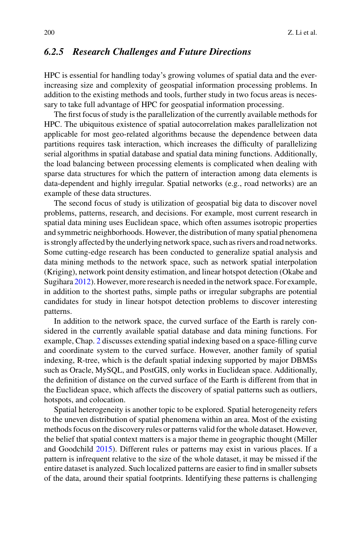### *6.2.5 Research Challenges and Future Directions*

HPC is essential for handling today's growing volumes of spatial data and the everincreasing size and complexity of geospatial information processing problems. In addition to the existing methods and tools, further study in two focus areas is necessary to take full advantage of HPC for geospatial information processing.

The first focus of study is the parallelization of the currently available methods for HPC. The ubiquitous existence of spatial autocorrelation makes parallelization not applicable for most geo-related algorithms because the dependence between data partitions requires task interaction, which increases the difficulty of parallelizing serial algorithms in spatial database and spatial data mining functions. Additionally, the load balancing between processing elements is complicated when dealing with sparse data structures for which the pattern of interaction among data elements is data-dependent and highly irregular. Spatial networks (e.g., road networks) are an example of these data structures.

The second focus of study is utilization of geospatial big data to discover novel problems, patterns, research, and decisions. For example, most current research in spatial data mining uses Euclidean space, which often assumes isotropic properties and symmetric neighborhoods. However, the distribution of many spatial phenomena is strongly affected by the underlying network space, such as rivers and road networks. Some cutting-edge research has been conducted to generalize spatial analysis and data mining methods to the network space, such as network spatial interpolation (Kriging), network point density estimation, and linear hotspot detection (Okabe and Sugihara [2012\)](#page-32-5). However, more research is needed in the network space. For example, in addition to the shortest paths, simple paths or irregular subgraphs are potential candidates for study in linear hotspot detection problems to discover interesting patterns.

In addition to the network space, the curved surface of the Earth is rarely considered in the currently available spatial database and data mining functions. For example, Chap. 2 discusses extending spatial indexing based on a space-filling curve and coordinate system to the curved surface. However, another family of spatial indexing, R-tree, which is the default spatial indexing supported by major DBMSs such as Oracle, MySQL, and PostGIS, only works in Euclidean space. Additionally, the definition of distance on the curved surface of the Earth is different from that in the Euclidean space, which affects the discovery of spatial patterns such as outliers, hotspots, and colocation.

Spatial heterogeneity is another topic to be explored. Spatial heterogeneity refers to the uneven distribution of spatial phenomena within an area. Most of the existing methods focus on the discovery rules or patterns valid for the whole dataset. However, the belief that spatial context matters is a major theme in geographic thought (Miller and Goodchild [2015\)](#page-32-6). Different rules or patterns may exist in various places. If a pattern is infrequent relative to the size of the whole dataset, it may be missed if the entire dataset is analyzed. Such localized patterns are easier to find in smaller subsets of the data, around their spatial footprints. Identifying these patterns is challenging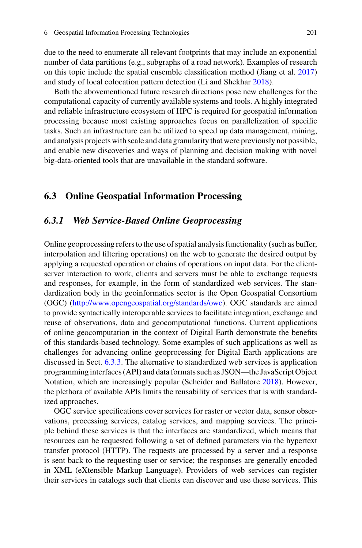due to the need to enumerate all relevant footprints that may include an exponential number of data partitions (e.g., subgraphs of a road network). Examples of research on this topic include the spatial ensemble classification method (Jiang et al. [2017\)](#page-31-5) and study of local colocation pattern detection (Li and Shekhar [2018\)](#page-32-7).

Both the abovementioned future research directions pose new challenges for the computational capacity of currently available systems and tools. A highly integrated and reliable infrastructure ecosystem of HPC is required for geospatial information processing because most existing approaches focus on parallelization of specific tasks. Such an infrastructure can be utilized to speed up data management, mining, and analysis projects with scale and data granularity that were previously not possible, and enable new discoveries and ways of planning and decision making with novel big-data-oriented tools that are unavailable in the standard software.

### <span id="page-10-0"></span>**6.3 Online Geospatial Information Processing**

#### *6.3.1 Web Service-Based Online Geoprocessing*

Online geoprocessing refers to the use of spatial analysis functionality (such as buffer, interpolation and filtering operations) on the web to generate the desired output by applying a requested operation or chains of operations on input data. For the clientserver interaction to work, clients and servers must be able to exchange requests and responses, for example, in the form of standardized web services. The standardization body in the geoinformatics sector is the Open Geospatial Consortium (OGC) [\(http://www.opengeospatial.org/standards/owc\)](http://www.opengeospatial.org/standards/owc). OGC standards are aimed to provide syntactically interoperable services to facilitate integration, exchange and reuse of observations, data and geocomputational functions. Current applications of online geocomputation in the context of Digital Earth demonstrate the benefits of this standards-based technology. Some examples of such applications as well as challenges for advancing online geoprocessing for Digital Earth applications are discussed in Sect. [6.3.3.](#page-12-0) The alternative to standardized web services is application programming interfaces (API) and data formats such as JSON—the JavaScript Object Notation, which are increasingly popular (Scheider and Ballatore [2018\)](#page-33-12). However, the plethora of available APIs limits the reusability of services that is with standardized approaches.

OGC service specifications cover services for raster or vector data, sensor observations, processing services, catalog services, and mapping services. The principle behind these services is that the interfaces are standardized, which means that resources can be requested following a set of defined parameters via the hypertext transfer protocol (HTTP). The requests are processed by a server and a response is sent back to the requesting user or service; the responses are generally encoded in XML (eXtensible Markup Language). Providers of web services can register their services in catalogs such that clients can discover and use these services. This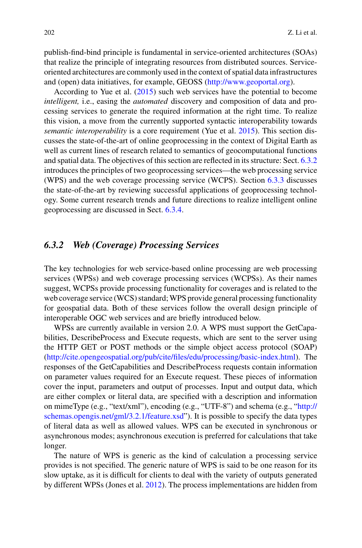publish-find-bind principle is fundamental in service-oriented architectures (SOAs) that realize the principle of integrating resources from distributed sources. Serviceoriented architectures are commonly used in the context of spatial data infrastructures and (open) data initiatives, for example, GEOSS [\(http://www.geoportal.org\)](http://www.geoportal.org).

According to Yue et al. [\(2015\)](#page-34-6) such web services have the potential to become *intelligent,* i.e., easing the *automated* discovery and composition of data and processing services to generate the required information at the right time. To realize this vision, a move from the currently supported syntactic interoperability towards *semantic interoperability* is a core requirement (Yue et al. [2015\)](#page-34-6). This section discusses the state-of-the-art of online geoprocessing in the context of Digital Earth as well as current lines of research related to semantics of geocomputational functions and spatial data. The objectives of this section are reflected in its structure: Sect. [6.3.2](#page-11-0) introduces the principles of two geoprocessing services—the web processing service (WPS) and the web coverage processing service (WCPS). Section [6.3.3](#page-12-0) discusses the state-of-the-art by reviewing successful applications of geoprocessing technology. Some current research trends and future directions to realize intelligent online geoprocessing are discussed in Sect. [6.3.4.](#page-13-0)

### <span id="page-11-0"></span>*6.3.2 Web (Coverage) Processing Services*

The key technologies for web service-based online processing are web processing services (WPSs) and web coverage processing services (WCPSs). As their names suggest, WCPSs provide processing functionality for coverages and is related to the web coverage service (WCS) standard; WPS provide general processing functionality for geospatial data. Both of these services follow the overall design principle of interoperable OGC web services and are briefly introduced below.

WPSs are currently available in version 2.0. A WPS must support the GetCapabilities, DescribeProcess and Execute requests, which are sent to the server using the HTTP GET or POST methods or the simple object access protocol (SOAP) [\(http://cite.opengeospatial.org/pub/cite/files/edu/processing/basic-index.html\)](http://cite.opengeospatial.org/pub/cite/files/edu/processing/basic-index.html). The responses of the GetCapabilities and DescribeProcess requests contain information on parameter values required for an Execute request. These pieces of information cover the input, parameters and output of processes. Input and output data, which are either complex or literal data, are specified with a description and information [on mimeType \(e.g., "text/xml"\), encoding \(e.g., "UTF-8"\) and schema \(e.g., "http://](http://schemas.opengis.net/gml/3.2.1/feature.xsd) schemas.opengis.net/gml/3.2.1/feature.xsd"). It is possible to specify the data types of literal data as well as allowed values. WPS can be executed in synchronous or asynchronous modes; asynchronous execution is preferred for calculations that take longer.

The nature of WPS is generic as the kind of calculation a processing service provides is not specified. The generic nature of WPS is said to be one reason for its slow uptake, as it is difficult for clients to deal with the variety of outputs generated by different WPSs (Jones et al. [2012\)](#page-31-7). The process implementations are hidden from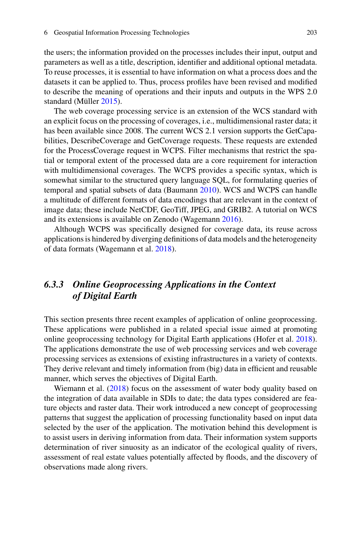the users; the information provided on the processes includes their input, output and parameters as well as a title, description, identifier and additional optional metadata. To reuse processes, it is essential to have information on what a process does and the datasets it can be applied to. Thus, process profiles have been revised and modified to describe the meaning of operations and their inputs and outputs in the WPS 2.0 standard (Müller [2015\)](#page-32-8).

The web coverage processing service is an extension of the WCS standard with an explicit focus on the processing of coverages, i.e., multidimensional raster data; it has been available since 2008. The current WCS 2.1 version supports the GetCapabilities, DescribeCoverage and GetCoverage requests. These requests are extended for the ProcessCoverage request in WCPS. Filter mechanisms that restrict the spatial or temporal extent of the processed data are a core requirement for interaction with multidimensional coverages. The WCPS provides a specific syntax, which is somewhat similar to the structured query language SQL, for formulating queries of temporal and spatial subsets of data (Baumann [2010\)](#page-29-3). WCS and WCPS can handle a multitude of different formats of data encodings that are relevant in the context of image data; these include NetCDF, GeoTiff, JPEG, and GRIB2. A tutorial on WCS and its extensions is available on Zenodo (Wagemann [2016\)](#page-34-7).

Although WCPS was specifically designed for coverage data, its reuse across applications is hindered by diverging definitions of data models and the heterogeneity of data formats (Wagemann et al. [2018\)](#page-34-8).

# <span id="page-12-0"></span>*6.3.3 Online Geoprocessing Applications in the Context of Digital Earth*

This section presents three recent examples of application of online geoprocessing. These applications were published in a related special issue aimed at promoting online geoprocessing technology for Digital Earth applications (Hofer et al. [2018\)](#page-31-8). The applications demonstrate the use of web processing services and web coverage processing services as extensions of existing infrastructures in a variety of contexts. They derive relevant and timely information from (big) data in efficient and reusable manner, which serves the objectives of Digital Earth.

Wiemann et al. [\(2018\)](#page-34-9) focus on the assessment of water body quality based on the integration of data available in SDIs to date; the data types considered are feature objects and raster data. Their work introduced a new concept of geoprocessing patterns that suggest the application of processing functionality based on input data selected by the user of the application. The motivation behind this development is to assist users in deriving information from data. Their information system supports determination of river sinuosity as an indicator of the ecological quality of rivers, assessment of real estate values potentially affected by floods, and the discovery of observations made along rivers.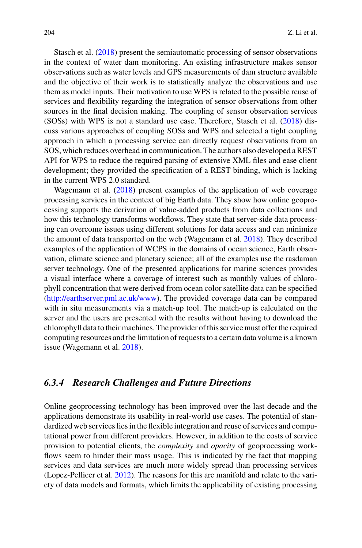Stasch et al. [\(2018\)](#page-34-10) present the semiautomatic processing of sensor observations in the context of water dam monitoring. An existing infrastructure makes sensor observations such as water levels and GPS measurements of dam structure available and the objective of their work is to statistically analyze the observations and use them as model inputs. Their motivation to use WPS is related to the possible reuse of services and flexibility regarding the integration of sensor observations from other sources in the final decision making. The coupling of sensor observation services (SOSs) with WPS is not a standard use case. Therefore, Stasch et al. [\(2018\)](#page-34-10) discuss various approaches of coupling SOSs and WPS and selected a tight coupling approach in which a processing service can directly request observations from an SOS, which reduces overhead in communication. The authors also developed a REST API for WPS to reduce the required parsing of extensive XML files and ease client development; they provided the specification of a REST binding, which is lacking in the current WPS 2.0 standard.

Wagemann et al. [\(2018\)](#page-34-8) present examples of the application of web coverage processing services in the context of big Earth data. They show how online geoprocessing supports the derivation of value-added products from data collections and how this technology transforms workflows. They state that server-side data processing can overcome issues using different solutions for data access and can minimize the amount of data transported on the web (Wagemann et al. [2018\)](#page-34-8). They described examples of the application of WCPS in the domains of ocean science, Earth observation, climate science and planetary science; all of the examples use the rasdaman server technology. One of the presented applications for marine sciences provides a visual interface where a coverage of interest such as monthly values of chlorophyll concentration that were derived from ocean color satellite data can be specified [\(http://earthserver.pml.ac.uk/www\)](http://earthserver.pml.ac.uk/www). The provided coverage data can be compared with in situ measurements via a match-up tool. The match-up is calculated on the server and the users are presented with the results without having to download the chlorophyll data to their machines. The provider of this service must offer the required computing resources and the limitation of requests to a certain data volume is a known issue (Wagemann et al. [2018\)](#page-34-8).

#### <span id="page-13-0"></span>*6.3.4 Research Challenges and Future Directions*

Online geoprocessing technology has been improved over the last decade and the applications demonstrate its usability in real-world use cases. The potential of standardized web services lies in the flexible integration and reuse of services and computational power from different providers. However, in addition to the costs of service provision to potential clients, the *complexity* and *opacity* of geoprocessing workflows seem to hinder their mass usage. This is indicated by the fact that mapping services and data services are much more widely spread than processing services (Lopez-Pellicer et al. [2012\)](#page-32-9). The reasons for this are manifold and relate to the variety of data models and formats, which limits the applicability of existing processing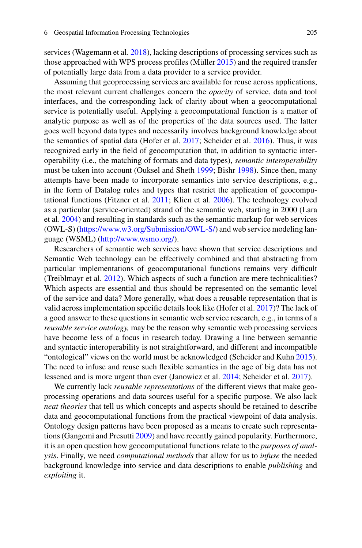services (Wagemann et al. [2018\)](#page-34-8), lacking descriptions of processing services such as those approached with WPS process profiles (Müller [2015\)](#page-32-8) and the required transfer of potentially large data from a data provider to a service provider.

Assuming that geoprocessing services are available for reuse across applications, the most relevant current challenges concern the *opacity* of service, data and tool interfaces, and the corresponding lack of clarity about when a geocomputational service is potentially useful. Applying a geocomputational function is a matter of analytic purpose as well as of the properties of the data sources used. The latter goes well beyond data types and necessarily involves background knowledge about the semantics of spatial data (Hofer et al. [2017;](#page-31-9) Scheider et al. [2016\)](#page-33-13). Thus, it was recognized early in the field of geocomputation that, in addition to syntactic interoperability (i.e., the matching of formats and data types), *semantic interoperability* must be taken into account (Ouksel and Sheth [1999;](#page-32-10) Bishr [1998\)](#page-29-4). Since then, many attempts have been made to incorporate semantics into service descriptions, e.g., in the form of Datalog rules and types that restrict the application of geocomputational functions (Fitzner et al. [2011;](#page-30-8) Klien et al. [2006\)](#page-32-11). The technology evolved as a particular (service-oriented) strand of the semantic web, starting in 2000 (Lara et al. [2004\)](#page-32-12) and resulting in standards such as the semantic markup for web services (OWL-S) [\(https://www.w3.org/Submission/OWL-S/\)](https://www.w3.org/Submission/OWL-S/) and web service modeling language (WSML) [\(http://www.wsmo.org/\)](http://www.wsmo.org/).

Researchers of semantic web services have shown that service descriptions and Semantic Web technology can be effectively combined and that abstracting from particular implementations of geocomputational functions remains very difficult (Treiblmayr et al. [2012\)](#page-34-11). Which aspects of such a function are mere technicalities? Which aspects are essential and thus should be represented on the semantic level of the service and data? More generally, what does a reusable representation that is valid across implementation specific details look like (Hofer et al. [2017\)](#page-31-9)? The lack of a good answer to these questions in semantic web service research, e.g., in terms of a *reusable service ontology,* may be the reason why semantic web processing services have become less of a focus in research today. Drawing a line between semantic and syntactic interoperability is not straightforward, and different and incompatible "ontological" views on the world must be acknowledged (Scheider and Kuhn [2015\)](#page-33-14). The need to infuse and reuse such flexible semantics in the age of big data has not lessened and is more urgent than ever (Janowicz et al. [2014;](#page-31-10) Scheider et al. [2017\)](#page-33-15).

We currently lack *reusable representations* of the different views that make geoprocessing operations and data sources useful for a specific purpose. We also lack *neat theories* that tell us which concepts and aspects should be retained to describe data and geocomputational functions from the practical viewpoint of data analysis. Ontology design patterns have been proposed as a means to create such representations (Gangemi and Presutti [2009\)](#page-30-9) and have recently gained popularity. Furthermore, it is an open question how geocomputational functions relate to the *purposes of analysis*. Finally, we need *computational methods* that allow for us to *infuse* the needed background knowledge into service and data descriptions to enable *publishing* and *exploiting* it.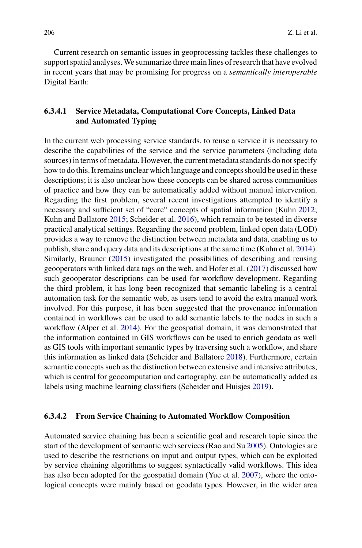Current research on semantic issues in geoprocessing tackles these challenges to support spatial analyses.We summarize three main lines of research that have evolved in recent years that may be promising for progress on a *semantically interoperable* Digital Earth:

#### **6.3.4.1 Service Metadata, Computational Core Concepts, Linked Data and Automated Typing**

In the current web processing service standards, to reuse a service it is necessary to describe the capabilities of the service and the service parameters (including data sources) in terms of metadata. However, the current metadata standards do not specify how to do this. It remains unclear which language and concepts should be used in these descriptions; it is also unclear how these concepts can be shared across communities of practice and how they can be automatically added without manual intervention. Regarding the first problem, several recent investigations attempted to identify a necessary and sufficient set of "core" concepts of spatial information (Kuhn [2012;](#page-32-13) Kuhn and Ballatore [2015;](#page-32-14) Scheider et al. [2016\)](#page-33-13), which remain to be tested in diverse practical analytical settings. Regarding the second problem, linked open data (LOD) provides a way to remove the distinction between metadata and data, enabling us to publish, share and query data and its descriptions at the same time (Kuhn et al. [2014\)](#page-32-15). Similarly, Brauner [\(2015\)](#page-30-10) investigated the possibilities of describing and reusing geooperators with linked data tags on the web, and Hofer et al. [\(2017\)](#page-31-9) discussed how such geooperator descriptions can be used for workflow development. Regarding the third problem, it has long been recognized that semantic labeling is a central automation task for the semantic web, as users tend to avoid the extra manual work involved. For this purpose, it has been suggested that the provenance information contained in workflows can be used to add semantic labels to the nodes in such a workflow (Alper et al. [2014\)](#page-29-5). For the geospatial domain, it was demonstrated that the information contained in GIS workflows can be used to enrich geodata as well as GIS tools with important semantic types by traversing such a workflow, and share this information as linked data (Scheider and Ballatore [2018\)](#page-33-12). Furthermore, certain semantic concepts such as the distinction between extensive and intensive attributes, which is central for geocomputation and cartography, can be automatically added as labels using machine learning classifiers (Scheider and Huisjes [2019\)](#page-33-16).

#### **6.3.4.2 From Service Chaining to Automated Workflow Composition**

Automated service chaining has been a scientific goal and research topic since the start of the development of semantic web services (Rao and Su [2005\)](#page-33-17). Ontologies are used to describe the restrictions on input and output types, which can be exploited by service chaining algorithms to suggest syntactically valid workflows. This idea has also been adopted for the geospatial domain (Yue et al. [2007\)](#page-34-12), where the ontological concepts were mainly based on geodata types. However, in the wider area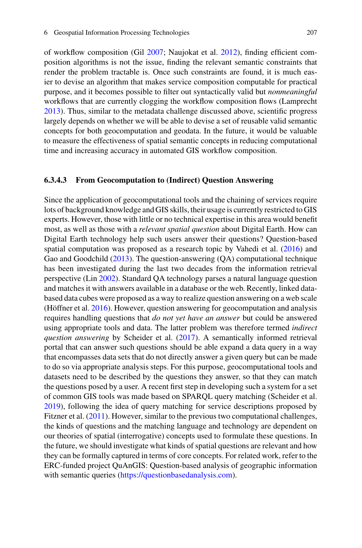of workflow composition (Gil [2007;](#page-30-11) Naujokat et al. [2012\)](#page-32-16), finding efficient composition algorithms is not the issue, finding the relevant semantic constraints that render the problem tractable is. Once such constraints are found, it is much easier to devise an algorithm that makes service composition computable for practical purpose, and it becomes possible to filter out syntactically valid but *nonmeaningful* workflows that are currently clogging the workflow composition flows (Lamprecht [2013\)](#page-32-17). Thus, similar to the metadata challenge discussed above, scientific progress largely depends on whether we will be able to devise a set of reusable valid semantic concepts for both geocomputation and geodata. In the future, it would be valuable to measure the effectiveness of spatial semantic concepts in reducing computational time and increasing accuracy in automated GIS workflow composition.

#### **6.3.4.3 From Geocomputation to (Indirect) Question Answering**

Since the application of geocomputational tools and the chaining of services require lots of background knowledge and GIS skills, their usage is currently restricted to GIS experts. However, those with little or no technical expertise in this area would benefit most, as well as those with a *relevant spatial question* about Digital Earth. How can Digital Earth technology help such users answer their questions? Question-based spatial computation was proposed as a research topic by Vahedi et al. [\(2016\)](#page-34-13) and Gao and Goodchild [\(2013\)](#page-30-12). The question-answering (QA) computational technique has been investigated during the last two decades from the information retrieval perspective (Lin [2002\)](#page-32-18). Standard QA technology parses a natural language question and matches it with answers available in a database or the web. Recently, linked databased data cubes were proposed as a way to realize question answering on a web scale (Höffner et al. [2016\)](#page-31-11). However, question answering for geocomputation and analysis requires handling questions that *do not yet have an answer* but could be answered using appropriate tools and data. The latter problem was therefore termed *indirect question answering* by Scheider et al. [\(2017\)](#page-33-15). A semantically informed retrieval portal that can answer such questions should be able expand a data query in a way that encompasses data sets that do not directly answer a given query but can be made to do so via appropriate analysis steps. For this purpose, geocomputational tools and datasets need to be described by the questions they answer, so that they can match the questions posed by a user. A recent first step in developing such a system for a set of common GIS tools was made based on SPARQL query matching (Scheider et al. [2019\)](#page-33-18), following the idea of query matching for service descriptions proposed by Fitzner et al. [\(2011\)](#page-30-8). However, similar to the previous two computational challenges, the kinds of questions and the matching language and technology are dependent on our theories of spatial (interrogative) concepts used to formulate these questions. In the future, we should investigate what kinds of spatial questions are relevant and how they can be formally captured in terms of core concepts. For related work, refer to the ERC-funded project QuAnGIS: Question-based analysis of geographic information with semantic queries [\(https://questionbasedanalysis.com\)](https://questionbasedanalysis.com).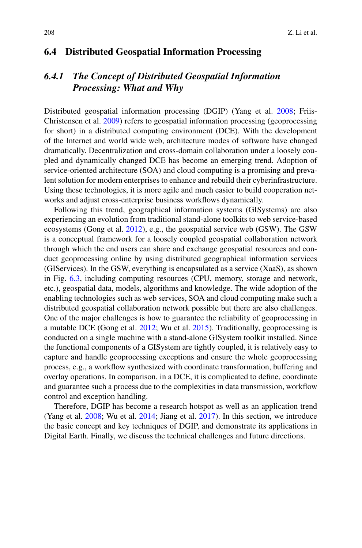### <span id="page-17-0"></span>**6.4 Distributed Geospatial Information Processing**

# *6.4.1 The Concept of Distributed Geospatial Information Processing: What and Why*

Distributed geospatial information processing (DGIP) (Yang et al. [2008;](#page-34-14) Friis-Christensen et al. [2009\)](#page-30-13) refers to geospatial information processing (geoprocessing for short) in a distributed computing environment (DCE). With the development of the Internet and world wide web, architecture modes of software have changed dramatically. Decentralization and cross-domain collaboration under a loosely coupled and dynamically changed DCE has become an emerging trend. Adoption of service-oriented architecture (SOA) and cloud computing is a promising and prevalent solution for modern enterprises to enhance and rebuild their cyberinfrastructure. Using these technologies, it is more agile and much easier to build cooperation networks and adjust cross-enterprise business workflows dynamically.

Following this trend, geographical information systems (GISystems) are also experiencing an evolution from traditional stand-alone toolkits to web service-based ecosystems (Gong et al. [2012\)](#page-30-14), e.g., the geospatial service web (GSW). The GSW is a conceptual framework for a loosely coupled geospatial collaboration network through which the end users can share and exchange geospatial resources and conduct geoprocessing online by using distributed geographical information services (GIServices). In the GSW, everything is encapsulated as a service (XaaS), as shown in Fig. [6.3,](#page-18-0) including computing resources (CPU, memory, storage and network, etc.), geospatial data, models, algorithms and knowledge. The wide adoption of the enabling technologies such as web services, SOA and cloud computing make such a distributed geospatial collaboration network possible but there are also challenges. One of the major challenges is how to guarantee the reliability of geoprocessing in a mutable DCE (Gong et al. [2012;](#page-30-14) Wu et al. [2015\)](#page-34-15). Traditionally, geoprocessing is conducted on a single machine with a stand-alone GISystem toolkit installed. Since the functional components of a GISystem are tightly coupled, it is relatively easy to capture and handle geoprocessing exceptions and ensure the whole geoprocessing process, e.g., a workflow synthesized with coordinate transformation, buffering and overlay operations. In comparison, in a DCE, it is complicated to define, coordinate and guarantee such a process due to the complexities in data transmission, workflow control and exception handling.

Therefore, DGIP has become a research hotspot as well as an application trend (Yang et al. [2008;](#page-34-14) Wu et al. [2014;](#page-34-16) Jiang et al. [2017\)](#page-31-5). In this section, we introduce the basic concept and key techniques of DGIP, and demonstrate its applications in Digital Earth. Finally, we discuss the technical challenges and future directions.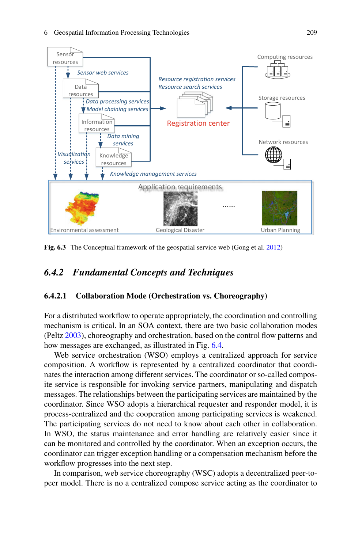

<span id="page-18-0"></span>**Fig. 6.3** The Conceptual framework of the geospatial service web (Gong et al. [2012\)](#page-30-14)

### *6.4.2 Fundamental Concepts and Techniques*

#### **6.4.2.1 Collaboration Mode (Orchestration vs. Choreography)**

For a distributed workflow to operate appropriately, the coordination and controlling mechanism is critical. In an SOA context, there are two basic collaboration modes (Peltz [2003\)](#page-33-19), choreography and orchestration, based on the control flow patterns and how messages are exchanged, as illustrated in Fig. [6.4.](#page-19-0)

Web service orchestration (WSO) employs a centralized approach for service composition. A workflow is represented by a centralized coordinator that coordinates the interaction among different services. The coordinator or so-called composite service is responsible for invoking service partners, manipulating and dispatch messages. The relationships between the participating services are maintained by the coordinator. Since WSO adopts a hierarchical requester and responder model, it is process-centralized and the cooperation among participating services is weakened. The participating services do not need to know about each other in collaboration. In WSO, the status maintenance and error handling are relatively easier since it can be monitored and controlled by the coordinator. When an exception occurs, the coordinator can trigger exception handling or a compensation mechanism before the workflow progresses into the next step.

In comparison, web service choreography (WSC) adopts a decentralized peer-topeer model. There is no a centralized compose service acting as the coordinator to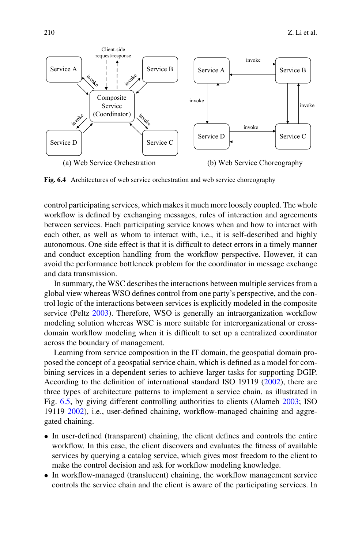

<span id="page-19-0"></span>**Fig. 6.4** Architectures of web service orchestration and web service choreography

control participating services, which makes it much more loosely coupled. The whole workflow is defined by exchanging messages, rules of interaction and agreements between services. Each participating service knows when and how to interact with each other, as well as whom to interact with, i.e., it is self-described and highly autonomous. One side effect is that it is difficult to detect errors in a timely manner and conduct exception handling from the workflow perspective. However, it can avoid the performance bottleneck problem for the coordinator in message exchange and data transmission.

In summary, the WSC describes the interactions between multiple services from a global view whereas WSO defines control from one party's perspective, and the control logic of the interactions between services is explicitly modeled in the composite service (Peltz [2003\)](#page-33-19). Therefore, WSO is generally an intraorganization workflow modeling solution whereas WSC is more suitable for interorganizational or crossdomain workflow modeling when it is difficult to set up a centralized coordinator across the boundary of management.

Learning from service composition in the IT domain, the geospatial domain proposed the concept of a geospatial service chain, which is defined as a model for combining services in a dependent series to achieve larger tasks for supporting DGIP. According to the definition of international standard ISO 19119 [\(2002\)](#page-31-12), there are three types of architecture patterns to implement a service chain, as illustrated in Fig. [6.5,](#page-20-0) by giving different controlling authorities to clients (Alameh [2003;](#page-29-6) ISO 19119 [2002\)](#page-31-12), i.e., user-defined chaining, workflow-managed chaining and aggregated chaining.

- In user-defined (transparent) chaining, the client defines and controls the entire workflow. In this case, the client discovers and evaluates the fitness of available services by querying a catalog service, which gives most freedom to the client to make the control decision and ask for workflow modeling knowledge.
- In workflow-managed (translucent) chaining, the workflow management service controls the service chain and the client is aware of the participating services. In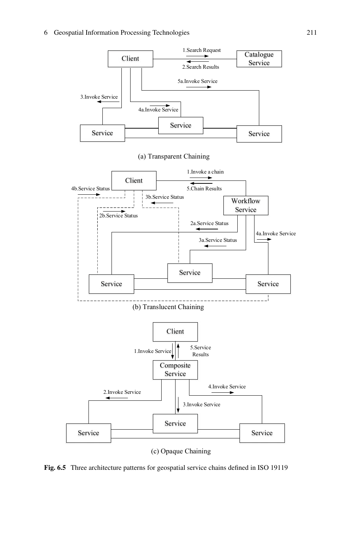

(c) Opaque Chaining

<span id="page-20-0"></span>**Fig. 6.5** Three architecture patterns for geospatial service chains defined in ISO 19119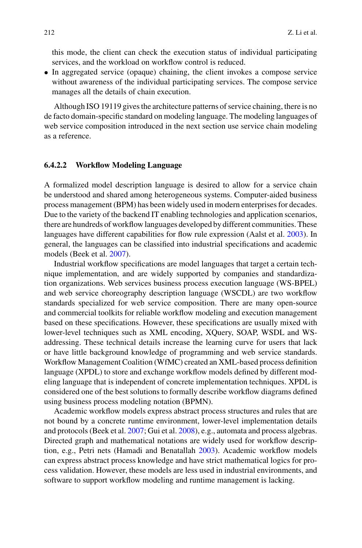this mode, the client can check the execution status of individual participating services, and the workload on workflow control is reduced.

• In aggregated service (opaque) chaining, the client invokes a compose service without awareness of the individual participating services. The compose service manages all the details of chain execution.

Although ISO 19119 gives the architecture patterns of service chaining, there is no de facto domain-specific standard on modeling language. The modeling languages of web service composition introduced in the next section use service chain modeling as a reference.

#### **6.4.2.2 Workflow Modeling Language**

A formalized model description language is desired to allow for a service chain be understood and shared among heterogeneous systems. Computer-aided business process management (BPM) has been widely used in modern enterprises for decades. Due to the variety of the backend IT enabling technologies and application scenarios, there are hundreds of workflow languages developed by different communities. These languages have different capabilities for flow rule expression (Aalst et al. [2003\)](#page-29-7). In general, the languages can be classified into industrial specifications and academic models (Beek et al. [2007\)](#page-29-8).

Industrial workflow specifications are model languages that target a certain technique implementation, and are widely supported by companies and standardization organizations. Web services business process execution language (WS-BPEL) and web service choreography description language (WSCDL) are two workflow standards specialized for web service composition. There are many open-source and commercial toolkits for reliable workflow modeling and execution management based on these specifications. However, these specifications are usually mixed with lower-level techniques such as XML encoding, XQuery, SOAP, WSDL and WSaddressing. These technical details increase the learning curve for users that lack or have little background knowledge of programming and web service standards. Workflow Management Coalition (WfMC) created an XML-based process definition language (XPDL) to store and exchange workflow models defined by different modeling language that is independent of concrete implementation techniques. XPDL is considered one of the best solutions to formally describe workflow diagrams defined using business process modeling notation (BPMN).

Academic workflow models express abstract process structures and rules that are not bound by a concrete runtime environment, lower-level implementation details and protocols (Beek et al. [2007;](#page-29-8) Gui et al. [2008\)](#page-31-13), e.g., automata and process algebras. Directed graph and mathematical notations are widely used for workflow description, e.g., Petri nets (Hamadi and Benatallah [2003\)](#page-31-14). Academic workflow models can express abstract process knowledge and have strict mathematical logics for process validation. However, these models are less used in industrial environments, and software to support workflow modeling and runtime management is lacking.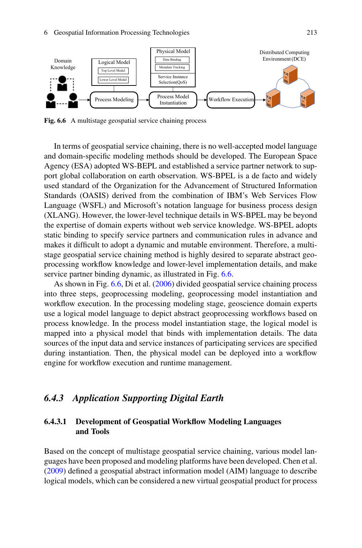

<span id="page-22-0"></span>Fig. 6.6 A multistage geospatial service chaining process

In terms of geospatial service chaining, there is no well-accepted model language and domain-specific modeling methods should be developed. The European Space Agency (ESA) adopted WS-BEPL and established a service partner network to support global collaboration on earth observation. WS-BPEL is a de facto and widely used standard of the Organization for the Advancement of Structured Information Standards (OASIS) derived from the combination of IBM's Web Services Flow Language (WSFL) and Microsoft's notation language for business process design (XLANG). However, the lower-level technique details in WS-BPEL may be beyond the expertise of domain experts without web service knowledge. WS-BPEL adopts static binding to specify service partners and communication rules in advance and makes it difficult to adopt a dynamic and mutable environment. Therefore, a multistage geospatial service chaining method is highly desired to separate abstract geoprocessing workflow knowledge and lower-level implementation details, and make service partner binding dynamic, as illustrated in Fig. [6.6.](#page-22-0)

As shown in Fig. [6.6,](#page-22-0) Di et al. [\(2006\)](#page-30-15) divided geospatial service chaining process into three steps, geoprocessing modeling, geoprocessing model instantiation and workflow execution. In the processing modeling stage, geoscience domain experts use a logical model language to depict abstract geoprocessing workflows based on process knowledge. In the process model instantiation stage, the logical model is mapped into a physical model that binds with implementation details. The data sources of the input data and service instances of participating services are specified during instantiation. Then, the physical model can be deployed into a workflow engine for workflow execution and runtime management.

### *6.4.3 Application Supporting Digital Earth*

#### **6.4.3.1 Development of Geospatial Workflow Modeling Languages and Tools**

Based on the concept of multistage geospatial service chaining, various model languages have been proposed and modeling platforms have been developed. Chen et al. [\(2009\)](#page-30-16) defined a geospatial abstract information model (AIM) language to describe logical models, which can be considered a new virtual geospatial product for process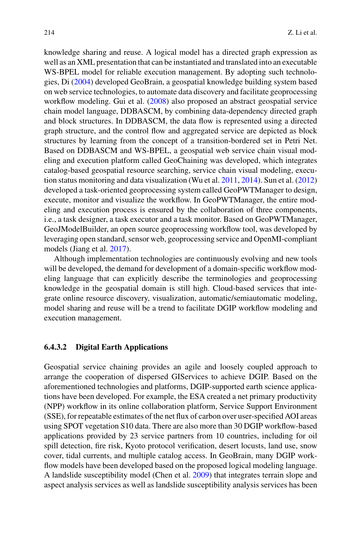knowledge sharing and reuse. A logical model has a directed graph expression as well as an XML presentation that can be instantiated and translated into an executable WS-BPEL model for reliable execution management. By adopting such technologies, Di [\(2004\)](#page-30-17) developed GeoBrain, a geospatial knowledge building system based on web service technologies, to automate data discovery and facilitate geoprocessing workflow modeling. Gui et al. [\(2008\)](#page-31-13) also proposed an abstract geospatial service chain model language, DDBASCM, by combining data-dependency directed graph and block structures. In DDBASCM, the data flow is represented using a directed graph structure, and the control flow and aggregated service are depicted as block structures by learning from the concept of a transition-bordered set in Petri Net. Based on DDBASCM and WS-BPEL, a geospatial web service chain visual modeling and execution platform called GeoChaining was developed, which integrates catalog-based geospatial resource searching, service chain visual modeling, execution status monitoring and data visualization (Wu et al. [2011,](#page-34-17) [2014\)](#page-34-16). Sun et al. [\(2012\)](#page-34-18) developed a task-oriented geoprocessing system called GeoPWTManager to design, execute, monitor and visualize the workflow. In GeoPWTManager, the entire modeling and execution process is ensured by the collaboration of three components, i.e., a task designer, a task executor and a task monitor. Based on GeoPWTManager, GeoJModelBuilder, an open source geoprocessing workflow tool, was developed by leveraging open standard, sensor web, geoprocessing service and OpenMI-compliant models (Jiang et al. [2017\)](#page-31-5).

Although implementation technologies are continuously evolving and new tools will be developed, the demand for development of a domain-specific workflow modeling language that can explicitly describe the terminologies and geoprocessing knowledge in the geospatial domain is still high. Cloud-based services that integrate online resource discovery, visualization, automatic/semiautomatic modeling, model sharing and reuse will be a trend to facilitate DGIP workflow modeling and execution management.

#### **6.4.3.2 Digital Earth Applications**

Geospatial service chaining provides an agile and loosely coupled approach to arrange the cooperation of dispersed GIServices to achieve DGIP. Based on the aforementioned technologies and platforms, DGIP-supported earth science applications have been developed. For example, the ESA created a net primary productivity (NPP) workflow in its online collaboration platform, Service Support Environment (SSE), for repeatable estimates of the net flux of carbon over user-specified AOI areas using SPOT vegetation S10 data. There are also more than 30 DGIP workflow-based applications provided by 23 service partners from 10 countries, including for oil spill detection, fire risk, Kyoto protocol verification, desert locusts, land use, snow cover, tidal currents, and multiple catalog access. In GeoBrain, many DGIP workflow models have been developed based on the proposed logical modeling language. A landslide susceptibility model (Chen et al. [2009\)](#page-30-16) that integrates terrain slope and aspect analysis services as well as landslide susceptibility analysis services has been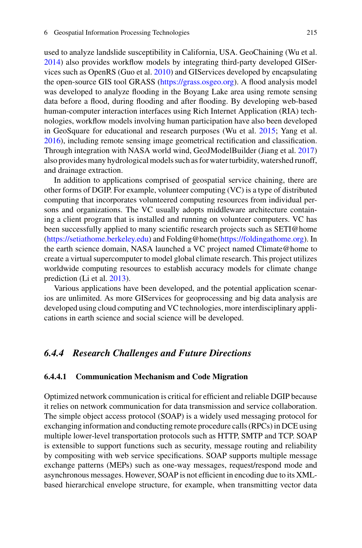used to analyze landslide susceptibility in California, USA. GeoChaining (Wu et al. [2014\)](#page-34-16) also provides workflow models by integrating third-party developed GIServices such as OpenRS (Guo et al. [2010\)](#page-31-15) and GIServices developed by encapsulating the open-source GIS tool GRASS [\(https://grass.osgeo.org\)](https://grass.osgeo.org). A flood analysis model was developed to analyze flooding in the Boyang Lake area using remote sensing data before a flood, during flooding and after flooding. By developing web-based human-computer interaction interfaces using Rich Internet Application (RIA) technologies, workflow models involving human participation have also been developed in GeoSquare for educational and research purposes (Wu et al. [2015;](#page-34-15) Yang et al. [2016\)](#page-34-19), including remote sensing image geometrical rectification and classification. Through integration with NASA world wind, GeoJModelBuilder (Jiang et al. [2017\)](#page-31-5) also provides many hydrological models such as for water turbidity, watershed runoff, and drainage extraction.

In addition to applications comprised of geospatial service chaining, there are other forms of DGIP. For example, volunteer computing (VC) is a type of distributed computing that incorporates volunteered computing resources from individual persons and organizations. The VC usually adopts middleware architecture containing a client program that is installed and running on volunteer computers. VC has been successfully applied to many scientific research projects such as SETI@home [\(https://setiathome.berkeley.edu\)](https://setiathome.berkeley.edu) and Folding@home[\(https://foldingathome.org\)](https://foldingathome.org). In the earth science domain, NASA launched a VC project named Climate@home to create a virtual supercomputer to model global climate research. This project utilizes worldwide computing resources to establish accuracy models for climate change prediction (Li et al. [2013\)](#page-32-19).

Various applications have been developed, and the potential application scenarios are unlimited. As more GIServices for geoprocessing and big data analysis are developed using cloud computing and VC technologies, more interdisciplinary applications in earth science and social science will be developed.

#### *6.4.4 Research Challenges and Future Directions*

#### **6.4.4.1 Communication Mechanism and Code Migration**

Optimized network communication is critical for efficient and reliable DGIP because it relies on network communication for data transmission and service collaboration. The simple object access protocol (SOAP) is a widely used messaging protocol for exchanging information and conducting remote procedure calls (RPCs) in DCE using multiple lower-level transportation protocols such as HTTP, SMTP and TCP. SOAP is extensible to support functions such as security, message routing and reliability by compositing with web service specifications. SOAP supports multiple message exchange patterns (MEPs) such as one-way messages, request/respond mode and asynchronous messages. However, SOAP is not efficient in encoding due to its XMLbased hierarchical envelope structure, for example, when transmitting vector data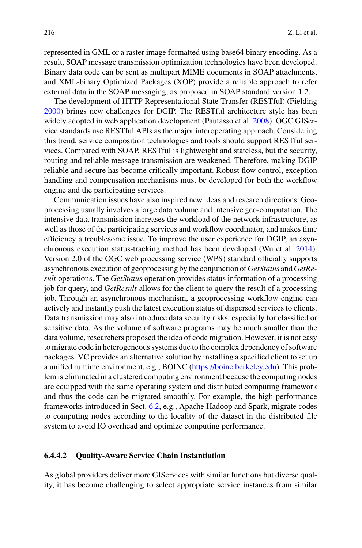represented in GML or a raster image formatted using base64 binary encoding. As a result, SOAP message transmission optimization technologies have been developed. Binary data code can be sent as multipart MIME documents in SOAP attachments, and XML-binary Optimized Packages (XOP) provide a reliable approach to refer external data in the SOAP messaging, as proposed in SOAP standard version 1.2.

The development of HTTP Representational State Transfer (RESTful) (Fielding [2000\)](#page-30-18) brings new challenges for DGIP. The RESTful architecture style has been widely adopted in web application development (Pautasso et al. [2008\)](#page-33-20). OGC GIService standards use RESTful APIs as the major interoperating approach. Considering this trend, service composition technologies and tools should support RESTful services. Compared with SOAP, RESTful is lightweight and stateless, but the security, routing and reliable message transmission are weakened. Therefore, making DGIP reliable and secure has become critically important. Robust flow control, exception handling and compensation mechanisms must be developed for both the workflow engine and the participating services.

Communication issues have also inspired new ideas and research directions. Geoprocessing usually involves a large data volume and intensive geo-computation. The intensive data transmission increases the workload of the network infrastructure, as well as those of the participating services and workflow coordinator, and makes time efficiency a troublesome issue. To improve the user experience for DGIP, an asynchronous execution status-tracking method has been developed (Wu et al. [2014\)](#page-34-16). Version 2.0 of the OGC web processing service (WPS) standard officially supports asynchronous execution of geoprocessing by the conjunction of*GetStatus* and*GetResult* operations. The *GetStatus* operation provides status information of a processing job for query, and *GetResult* allows for the client to query the result of a processing job. Through an asynchronous mechanism, a geoprocessing workflow engine can actively and instantly push the latest execution status of dispersed services to clients. Data transmission may also introduce data security risks, especially for classified or sensitive data. As the volume of software programs may be much smaller than the data volume, researchers proposed the idea of code migration. However, it is not easy to migrate code in heterogeneous systems due to the complex dependency of software packages. VC provides an alternative solution by installing a specified client to set up a unified runtime environment, e.g., BOINC [\(https://boinc.berkeley.edu\)](https://boinc.berkeley.edu). This problem is eliminated in a clustered computing environment because the computing nodes are equipped with the same operating system and distributed computing framework and thus the code can be migrated smoothly. For example, the high-performance frameworks introduced in Sect. [6.2,](#page-3-0) e.g., Apache Hadoop and Spark, migrate codes to computing nodes according to the locality of the dataset in the distributed file system to avoid IO overhead and optimize computing performance.

#### **6.4.4.2 Quality-Aware Service Chain Instantiation**

As global providers deliver more GIServices with similar functions but diverse quality, it has become challenging to select appropriate service instances from similar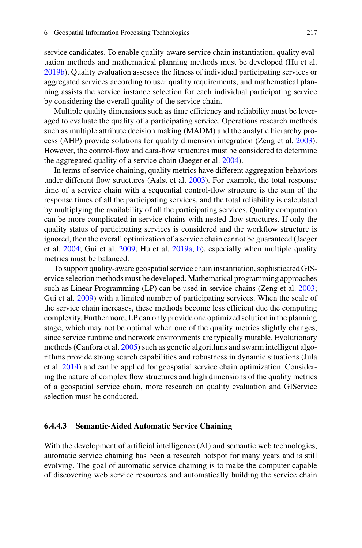service candidates. To enable quality-aware service chain instantiation, quality evaluation methods and mathematical planning methods must be developed (Hu et al. [2019b\)](#page-31-1). Quality evaluation assesses the fitness of individual participating services or aggregated services according to user quality requirements, and mathematical planning assists the service instance selection for each individual participating service by considering the overall quality of the service chain.

Multiple quality dimensions such as time efficiency and reliability must be leveraged to evaluate the quality of a participating service. Operations research methods such as multiple attribute decision making (MADM) and the analytic hierarchy process (AHP) provide solutions for quality dimension integration (Zeng et al. [2003\)](#page-35-1). However, the control-flow and data-flow structures must be considered to determine the aggregated quality of a service chain (Jaeger et al. [2004\)](#page-31-16).

In terms of service chaining, quality metrics have different aggregation behaviors under different flow structures (Aalst et al. [2003\)](#page-29-7). For example, the total response time of a service chain with a sequential control-flow structure is the sum of the response times of all the participating services, and the total reliability is calculated by multiplying the availability of all the participating services. Quality computation can be more complicated in service chains with nested flow structures. If only the quality status of participating services is considered and the workflow structure is ignored, then the overall optimization of a service chain cannot be guaranteed (Jaeger et al. [2004;](#page-31-16) Gui et al. [2009;](#page-30-19) Hu et al. [2019a,](#page-31-0) [b\)](#page-31-1), especially when multiple quality metrics must be balanced.

To support quality-aware geospatial service chain instantiation, sophisticated GIService selection methods must be developed. Mathematical programming approaches such as Linear Programming (LP) can be used in service chains (Zeng et al. [2003;](#page-35-1) Gui et al. [2009\)](#page-30-19) with a limited number of participating services. When the scale of the service chain increases, these methods become less efficient due the computing complexity. Furthermore, LP can only provide one optimized solution in the planning stage, which may not be optimal when one of the quality metrics slightly changes, since service runtime and network environments are typically mutable. Evolutionary methods (Canfora et al. [2005\)](#page-30-20) such as genetic algorithms and swarm intelligent algorithms provide strong search capabilities and robustness in dynamic situations (Jula et al. [2014\)](#page-32-20) and can be applied for geospatial service chain optimization. Considering the nature of complex flow structures and high dimensions of the quality metrics of a geospatial service chain, more research on quality evaluation and GIService selection must be conducted.

#### **6.4.4.3 Semantic-Aided Automatic Service Chaining**

With the development of artificial intelligence (AI) and semantic web technologies, automatic service chaining has been a research hotspot for many years and is still evolving. The goal of automatic service chaining is to make the computer capable of discovering web service resources and automatically building the service chain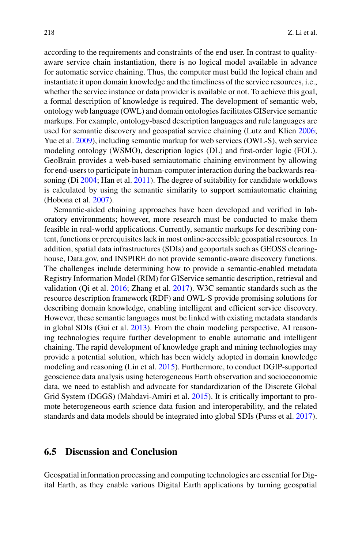according to the requirements and constraints of the end user. In contrast to qualityaware service chain instantiation, there is no logical model available in advance for automatic service chaining. Thus, the computer must build the logical chain and instantiate it upon domain knowledge and the timeliness of the service resources, i.e., whether the service instance or data provider is available or not. To achieve this goal, a formal description of knowledge is required. The development of semantic web, ontology web language (OWL) and domain ontologies facilitates GIService semantic markups. For example, ontology-based description languages and rule languages are used for semantic discovery and geospatial service chaining (Lutz and Klien [2006;](#page-32-21) Yue et al. [2009\)](#page-34-20), including semantic markup for web services (OWL-S), web service modeling ontology (WSMO), description logics (DL) and first-order logic (FOL). GeoBrain provides a web-based semiautomatic chaining environment by allowing for end-users to participate in human-computer interaction during the backwards reasoning (Di [2004;](#page-30-17) Han et al. [2011\)](#page-31-17). The degree of suitability for candidate workflows is calculated by using the semantic similarity to support semiautomatic chaining (Hobona et al. [2007\)](#page-31-18).

Semantic-aided chaining approaches have been developed and verified in laboratory environments; however, more research must be conducted to make them feasible in real-world applications. Currently, semantic markups for describing content, functions or prerequisites lack in most online-accessible geospatial resources. In addition, spatial data infrastructures (SDIs) and geoportals such as GEOSS clearinghouse, Data.gov, and INSPIRE do not provide semantic-aware discovery functions. The challenges include determining how to provide a semantic-enabled metadata Registry Information Model (RIM) for GIService semantic description, retrieval and validation (Qi et al. [2016;](#page-33-21) Zhang et al. [2017\)](#page-35-2). W3C semantic standards such as the resource description framework (RDF) and OWL-S provide promising solutions for describing domain knowledge, enabling intelligent and efficient service discovery. However, these semantic languages must be linked with existing metadata standards in global SDIs (Gui et al. [2013\)](#page-31-19). From the chain modeling perspective, AI reasoning technologies require further development to enable automatic and intelligent chaining. The rapid development of knowledge graph and mining technologies may provide a potential solution, which has been widely adopted in domain knowledge modeling and reasoning (Lin et al. [2015\)](#page-32-22). Furthermore, to conduct DGIP-supported geoscience data analysis using heterogeneous Earth observation and socioeconomic data, we need to establish and advocate for standardization of the Discrete Global Grid System (DGGS) (Mahdavi-Amiri et al. [2015\)](#page-32-23). It is critically important to promote heterogeneous earth science data fusion and interoperability, and the related standards and data models should be integrated into global SDIs (Purss et al. [2017\)](#page-33-22).

#### **6.5 Discussion and Conclusion**

Geospatial information processing and computing technologies are essential for Digital Earth, as they enable various Digital Earth applications by turning geospatial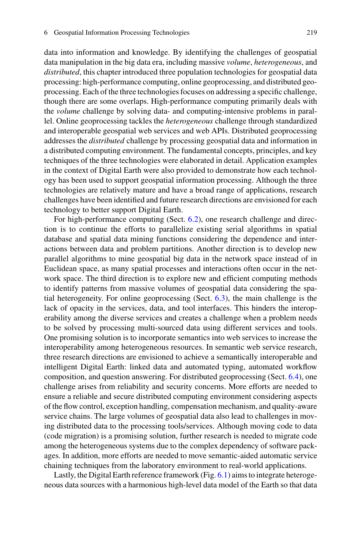data into information and knowledge. By identifying the challenges of geospatial data manipulation in the big data era, including massive *volume*, *heterogeneous*, and *distributed*, this chapter introduced three population technologies for geospatial data processing: high-performance computing, online geoprocessing, and distributed geoprocessing. Each of the three technologies focuses on addressing a specific challenge, though there are some overlaps. High-performance computing primarily deals with the *volume* challenge by solving data- and computing-intensive problems in parallel. Online geoprocessing tackles the *heterogeneous* challenge through standardized and interoperable geospatial web services and web APIs. Distributed geoprocessing addresses the *distributed* challenge by processing geospatial data and information in a distributed computing environment. The fundamental concepts, principles, and key techniques of the three technologies were elaborated in detail. Application examples in the context of Digital Earth were also provided to demonstrate how each technology has been used to support geospatial information processing. Although the three technologies are relatively mature and have a broad range of applications, research challenges have been identified and future research directions are envisioned for each technology to better support Digital Earth.

For high-performance computing (Sect. [6.2\)](#page-3-0), one research challenge and direction is to continue the efforts to parallelize existing serial algorithms in spatial database and spatial data mining functions considering the dependence and interactions between data and problem partitions. Another direction is to develop new parallel algorithms to mine geospatial big data in the network space instead of in Euclidean space, as many spatial processes and interactions often occur in the network space. The third direction is to explore new and efficient computing methods to identify patterns from massive volumes of geospatial data considering the spatial heterogeneity. For online geoprocessing (Sect. [6.3\)](#page-10-0), the main challenge is the lack of opacity in the services, data, and tool interfaces. This hinders the interoperability among the diverse services and creates a challenge when a problem needs to be solved by processing multi-sourced data using different services and tools. One promising solution is to incorporate semantics into web services to increase the interoperability among heterogeneous resources. In semantic web service research, three research directions are envisioned to achieve a semantically interoperable and intelligent Digital Earth: linked data and automated typing, automated workflow composition, and question answering. For distributed geoprocessing (Sect. [6.4\)](#page-17-0), one challenge arises from reliability and security concerns. More efforts are needed to ensure a reliable and secure distributed computing environment considering aspects of the flow control, exception handling, compensation mechanism, and quality-aware service chains. The large volumes of geospatial data also lead to challenges in moving distributed data to the processing tools/services. Although moving code to data (code migration) is a promising solution, further research is needed to migrate code among the heterogeneous systems due to the complex dependency of software packages. In addition, more efforts are needed to move semantic-aided automatic service chaining techniques from the laboratory environment to real-world applications.

Lastly, the Digital Earth reference framework (Fig. [6.1\)](#page-2-0) aims to integrate heterogeneous data sources with a harmonious high-level data model of the Earth so that data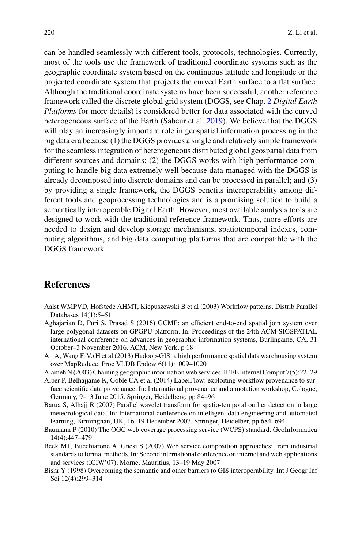can be handled seamlessly with different tools, protocols, technologies. Currently, most of the tools use the framework of traditional coordinate systems such as the geographic coordinate system based on the continuous latitude and longitude or the projected coordinate system that projects the curved Earth surface to a flat surface. Although the traditional coordinate systems have been successful, another reference framework called the discrete global grid system (DGGS, see Chap. 2 *Digital Earth Platforms* for more details) is considered better for data associated with the curved heterogeneous surface of the Earth (Sabeur et al. [2019\)](#page-33-23). We believe that the DGGS will play an increasingly important role in geospatial information processing in the big data era because (1) the DGGS provides a single and relatively simple framework for the seamless integration of heterogeneous distributed global geospatial data from different sources and domains; (2) the DGGS works with high-performance computing to handle big data extremely well because data managed with the DGGS is already decomposed into discrete domains and can be processed in parallel; and (3) by providing a single framework, the DGGS benefits interoperability among different tools and geoprocessing technologies and is a promising solution to build a semantically interoperable Digital Earth. However, most available analysis tools are designed to work with the traditional reference framework. Thus, more efforts are needed to design and develop storage mechanisms, spatiotemporal indexes, computing algorithms, and big data computing platforms that are compatible with the DGGS framework.

### **References**

- <span id="page-29-7"></span>Aalst WMPVD, Hofstede AHMT, Kiepuszewski B et al (2003) Workflow patterns. Distrib Parallel Databases 14(1):5–51
- <span id="page-29-1"></span>Aghajarian D, Puri S, Prasad S (2016) GCMF: an efficient end-to-end spatial join system over large polygonal datasets on GPGPU platform. In: Proceedings of the 24th ACM SIGSPATIAL international conference on advances in geographic information systems, Burlingame, CA, 31 October–3 November 2016. ACM, New York, p 18
- <span id="page-29-0"></span>Aji A, Wang F, Vo H et al (2013) Hadoop-GIS: a high performance spatial data warehousing system over MapReduce. Proc VLDB Endow 6(11):1009–1020
- <span id="page-29-6"></span>Alameh N (2003) Chaining geographic information web services. IEEE Internet Comput 7(5):22–29
- <span id="page-29-5"></span>Alper P, Belhajjame K, Goble CA et al (2014) LabelFlow: exploiting workflow provenance to surface scientific data provenance. In: International provenance and annotation workshop, Cologne, Germany, 9–13 June 2015. Springer, Heidelberg, pp 84–96
- <span id="page-29-2"></span>Barua S, Alhajj R (2007) Parallel wavelet transform for spatio-temporal outlier detection in large meteorological data. In: International conference on intelligent data engineering and automated learning, Birminghan, UK, 16–19 December 2007. Springer, Heidelber, pp 684–694
- <span id="page-29-3"></span>Baumann P (2010) The OGC web coverage processing service (WCPS) standard. GeoInformatica 14(4):447–479
- <span id="page-29-8"></span>Beek MT, Bucchiarone A, Gnesi S (2007) Web service composition approaches: from industrial standards to formal methods. In: Second international conference on internet and web applications and services (ICIW'07), Morne, Mauritius, 13–19 May 2007
- <span id="page-29-4"></span>Bishr Y (1998) Overcoming the semantic and other barriers to GIS interoperability. Int J Geogr Inf Sci 12(4):299–314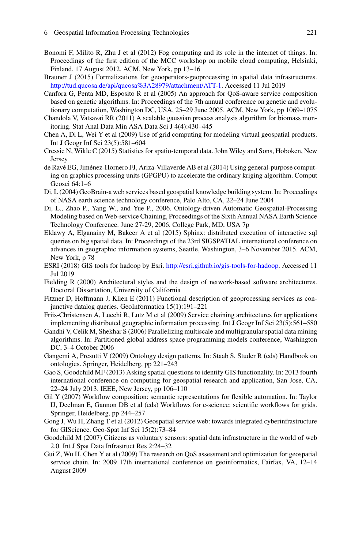- <span id="page-30-1"></span>Bonomi F, Milito R, Zhu J et al (2012) Fog computing and its role in the internet of things. In: Proceedings of the first edition of the MCC workshop on mobile cloud computing, Helsinki, Finland, 17 August 2012. ACM, New York, pp 13–16
- <span id="page-30-10"></span>Brauner J (2015) Formalizations for geooperators-geoprocessing in spatial data infrastructures. [http://tud.qucosa.de/api/qucosa%3A28979/attachment/ATT-1.](http://tud.qucosa.de/api/qucosa%253A28979/attachment/ATT-1) Accessed 11 Jul 2019
- <span id="page-30-20"></span>Canfora G, Penta MD, Esposito R et al (2005) An approach for QoS-aware service composition based on genetic algorithms. In: Proceedings of the 7th annual conference on genetic and evolutionary computation, Washington DC, USA, 25–29 June 2005. ACM, New York, pp 1069–1075
- <span id="page-30-3"></span>Chandola V, Vatsavai RR (2011) A scalable gaussian process analysis algorithm for biomass monitoring. Stat Anal Data Min ASA Data Sci J 4(4):430–445
- <span id="page-30-16"></span>Chen A, Di L, Wei Y et al (2009) Use of grid computing for modeling virtual geospatial products. Int J Geogr Inf Sci 23(5):581–604
- <span id="page-30-2"></span>Cressie N, Wikle C (2015) Statistics for spatio-temporal data. John Wiley and Sons, Hoboken, New **Jersey**
- <span id="page-30-6"></span>de Ravé EG, Jiménez-Hornero FJ, Ariza-Villaverde AB et al (2014) Using general-purpose computing on graphics processing units (GPGPU) to accelerate the ordinary kriging algorithm. Comput Geosci 64:1–6
- <span id="page-30-17"></span>Di, L (2004) GeoBrain-a web services based geospatial knowledge building system. In: Proceedings of NASA earth science technology conference, Palo Alto, CA, 22–24 June 2004
- <span id="page-30-15"></span>Di, L., Zhao P., Yang W., and Yue P., 2006. Ontology-driven Automatic Geospatial-Processing Modeling based on Web-service Chaining, Proceedings of the Sixth Annual NASA Earth Science Technology Conference. June 27-29, 2006. College Park, MD, USA 7p
- <span id="page-30-5"></span>Eldawy A, Elganainy M, Bakeer A et al (2015) Sphinx: distributed execution of interactive sql queries on big spatial data. In: Proceedings of the 23rd SIGSPATIAL international conference on advances in geographic information systems, Seattle, Washington, 3–6 November 2015. ACM, New York, p 78
- <span id="page-30-4"></span>ESRI (2018) GIS tools for hadoop by Esri. [http://esri.github.io/gis-tools-for-hadoop.](http://esri.github.io/gis-tools-for-hadoop) Accessed 11 Jul 2019
- <span id="page-30-18"></span>Fielding R (2000) Architectural styles and the design of network-based software architectures. Doctoral Dissertation, University of California
- <span id="page-30-8"></span>Fitzner D, Hoffmann J, Klien E (2011) Functional description of geoprocessing services as conjunctive datalog queries. GeoInformatica 15(1):191–221
- <span id="page-30-13"></span>Friis-Christensen A, Lucchi R, Lutz M et al (2009) Service chaining architectures for applications implementing distributed geographic information processing. Int J Geogr Inf Sci 23(5):561–580
- <span id="page-30-7"></span>Gandhi V, Celik M, Shekhar S (2006) Parallelizing multiscale and multigranular spatial data mining algorithms. In: Partitioned global address space programming models conference, Washington DC, 3–4 October 2006
- <span id="page-30-9"></span>Gangemi A, Presutti V (2009) Ontology design patterns. In: Staab S, Studer R (eds) Handbook on ontologies. Springer, Heidelberg, pp 221–243
- <span id="page-30-12"></span>Gao S, Goodchild MF (2013) Asking spatial questions to identify GIS functionality. In: 2013 fourth international conference on computing for geospatial research and application, San Jose, CA, 22–24 July 2013. IEEE, New Jersey, pp 106–110
- <span id="page-30-11"></span>Gil Y (2007) Workflow composition: semantic representations for flexible automation. In: Taylor IJ, Deelman E, Gannon DB et al (eds) Workflows for e-science: scientific workflows for grids. Springer, Heidelberg, pp 244–257
- <span id="page-30-14"></span>Gong J, Wu H, Zhang T et al (2012) Geospatial service web: towards integrated cyberinfrastructure for GIScience. Geo-Spat Inf Sci 15(2):73–84
- <span id="page-30-0"></span>Goodchild M (2007) Citizens as voluntary sensors: spatial data infrastructure in the world of web 2.0. Int J Spat Data Infrastruct Res 2:24–32
- <span id="page-30-19"></span>Gui Z, Wu H, Chen Y et al (2009) The research on QoS assessment and optimization for geospatial service chain. In: 2009 17th international conference on geoinformatics, Fairfax, VA, 12–14 August 2009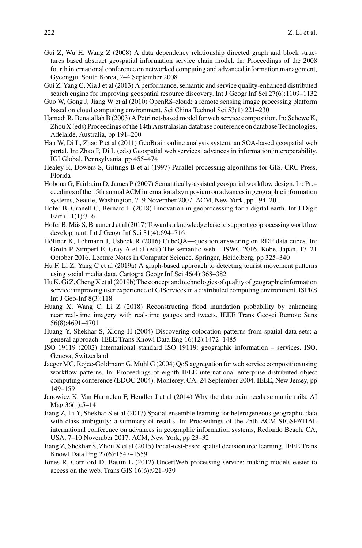- <span id="page-31-13"></span>Gui Z, Wu H, Wang Z (2008) A data dependency relationship directed graph and block structures based abstract geospatial information service chain model. In: Proceedings of the 2008 fourth international conference on networked computing and advanced information management, Gyeongju, South Korea, 2–4 September 2008
- <span id="page-31-19"></span>Gui Z, Yang C, Xia J et al (2013) A performance, semantic and service quality-enhanced distributed search engine for improving geospatial resource discovery. Int J Geogr Inf Sci 27(6):1109–1132
- <span id="page-31-15"></span>Guo W, Gong J, Jiang W et al (2010) OpenRS-cloud: a remote sensing image processing platform based on cloud computing environment. Sci China Technol Sci 53(1):221–230
- <span id="page-31-14"></span>Hamadi R, Benatallah B (2003) A Petri net-based model for web service composition. In: Schewe K, Zhou X (eds) Proceedings of the 14th Australasian database conference on database Technologies, Adelaide, Australia, pp 191–200
- <span id="page-31-17"></span>Han W, Di L, Zhao P et al (2011) GeoBrain online analysis system: an SOA-based geospatial web portal. In: Zhao P, Di L (eds) Geospatial web services: advances in information interoperability. IGI Global, Pennsylvania, pp 455–474
- <span id="page-31-6"></span>Healey R, Dowers S, Gittings B et al (1997) Parallel processing algorithms for GIS. CRC Press, Florida
- <span id="page-31-18"></span>Hobona G, Fairbairn D, James P (2007) Semantically-assisted geospatial workflow design. In: Proceedings of the 15th annual ACM international symposium on advances in geographic information systems, Seattle, Washington, 7–9 November 2007. ACM, New York, pp 194–201
- <span id="page-31-8"></span>Hofer B, Granell C, Bernard L (2018) Innovation in geoprocessing for a digital earth. Int J Digit Earth 11(1):3–6
- <span id="page-31-9"></span>Hofer B, Mäs S, Brauner J et al (2017) Towards a knowledge base to support geoprocessing workflow development. Int J Geogr Inf Sci 31(4):694–716
- <span id="page-31-11"></span>Höffner K, Lehmann J, Usbeck R (2016) CubeQA—question answering on RDF data cubes. In: Groth P, Simperl E, Gray A et al (eds) The semantic web – ISWC 2016, Kobe, Japan, 17–21 October 2016. Lecture Notes in Computer Science. Springer, Heidelberg, pp 325–340
- <span id="page-31-0"></span>Hu F, Li Z, Yang C et al (2019a) A graph-based approach to detecting tourist movement patterns using social media data. Cartogra Geogr Inf Sci 46(4):368–382
- <span id="page-31-1"></span>Hu K, Gi Z, Cheng X et al (2019b) The concept and technologies of quality of geographic information service: improving user experience of GIServices in a distributed computing environment. ISPRS Int J Geo-Inf 8(3):118
- <span id="page-31-2"></span>Huang X, Wang C, Li Z (2018) Reconstructing flood inundation probability by enhancing near real-time imagery with real-time gauges and tweets. IEEE Trans Geosci Remote Sens 56(8):4691–4701
- <span id="page-31-3"></span>Huang Y, Shekhar S, Xiong H (2004) Discovering colocation patterns from spatial data sets: a general approach. IEEE Trans Knowl Data Eng 16(12):1472–1485
- <span id="page-31-12"></span>ISO 19119 (2002) International standard ISO 19119: geographic information – services. ISO, Geneva, Switzerland
- <span id="page-31-16"></span>Jaeger MC, Rojec-Goldmann G, Muhl G (2004) QoS aggregation for web service composition using workflow patterns. In: Proceedings of eighth IEEE international enterprise distributed object computing conference (EDOC 2004). Monterey, CA, 24 September 2004. IEEE, New Jersey, pp 149–159
- <span id="page-31-10"></span>Janowicz K, Van Harmelen F, Hendler J et al (2014) Why the data train needs semantic rails. AI Mag 36(1):5–14
- <span id="page-31-5"></span>Jiang Z, Li Y, Shekhar S et al (2017) Spatial ensemble learning for heterogeneous geographic data with class ambiguity: a summary of results. In: Proceedings of the 25th ACM SIGSPATIAL international conference on advances in geographic information systems, Redondo Beach, CA, USA, 7–10 November 2017. ACM, New York, pp 23–32
- <span id="page-31-4"></span>Jiang Z, Shekhar S, Zhou X et al (2015) Focal-test-based spatial decision tree learning. IEEE Trans Knowl Data Eng 27(6):1547–1559
- <span id="page-31-7"></span>Jones R, Cornford D, Bastin L (2012) UncertWeb processing service: making models easier to access on the web. Trans GIS 16(6):921–939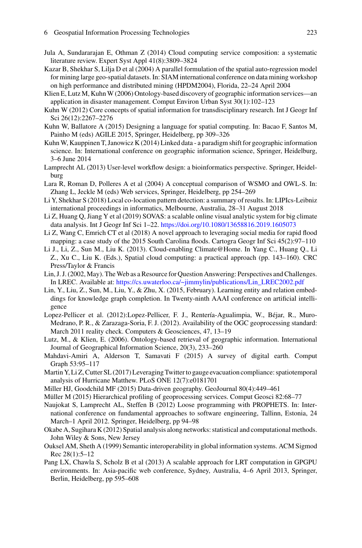- <span id="page-32-20"></span>Jula A, Sundararajan E, Othman Z (2014) Cloud computing service composition: a systematic literature review. Expert Syst Appl 41(8):3809–3824
- <span id="page-32-3"></span>Kazar B, Shekhar S, Lilja D et al (2004) A parallel formulation of the spatial auto-regression model for mining large geo-spatial datasets. In: SIAM international conference on data mining workshop on high performance and distributed mining (HPDM2004), Florida, 22–24 April 2004
- <span id="page-32-11"></span>Klien E, Lutz M, Kuhn W (2006) Ontology-based discovery of geographic information services—an application in disaster management. Comput Environ Urban Syst 30(1):102–123
- <span id="page-32-13"></span>Kuhn W (2012) Core concepts of spatial information for transdisciplinary research. Int J Geogr Inf Sci 26(12):2267–2276
- <span id="page-32-14"></span>Kuhn W, Ballatore A (2015) Designing a language for spatial computing. In: Bacao F, Santos M, Painho M (eds) AGILE 2015, Springer, Heidelberg, pp 309–326
- <span id="page-32-15"></span>Kuhn W, Kauppinen T, Janowicz K (2014) Linked data - a paradigm shift for geographic information science. In: International conference on geographic information science, Springer, Heidelburg, 3–6 June 2014
- <span id="page-32-17"></span>Lamprecht AL (2013) User-level workflow design: a bioinformatics perspective. Springer, Heidelburg
- <span id="page-32-12"></span>Lara R, Roman D, Polleres A et al (2004) A conceptual comparison of WSMO and OWL-S. In: Zhang L, Jeckle M (eds) Web services, Springer, Heidelberg, pp 254–269
- <span id="page-32-7"></span>Li Y, Shekhar S (2018) Local co-location pattern detection: a summary of results. In: LIPIcs-Leibniz international proceedings in informatics, Melbourne, Australia, 28–31 August 2018
- <span id="page-32-1"></span>Li Z, Huang Q, Jiang Y et al (2019) SOVAS: a scalable online visual analytic system for big climate data analysis. Int J Geogr Inf Sci 1–22. <https://doi.org/10.1080/13658816.2019.1605073>
- <span id="page-32-2"></span>Li Z, Wang C, Emrich CT et al (2018) A novel approach to leveraging social media for rapid flood mapping: a case study of the 2015 South Carolina floods. Cartogra Geogr Inf Sci 45(2):97–110
- <span id="page-32-19"></span>Li J., Li, Z., Sun M., Liu K. (2013). Cloud-enabling Climate@Home. In Yang C., Huang Q., Li Z., Xu C., Liu K. (Eds.), Spatial cloud computing: a practical approach (pp. 143–160). CRC Press/Taylor & Francis
- <span id="page-32-18"></span>Lin, J. J. (2002, May). TheWeb as a Resource for Question Answering: Perspectives and Challenges. In LREC. Available at: [https://cs.uwaterloo.ca/~jimmylin/publications/Lin\\_LREC2002.pdf](https://cs.uwaterloo.ca/%7Ejimmylin/publications/Lin_LREC2002.pdf)
- <span id="page-32-22"></span>Lin, Y., Liu, Z., Sun, M., Liu, Y., & Zhu, X. (2015, February). Learning entity and relation embeddings for knowledge graph completion. In Twenty-ninth AAAI conference on artificial intelligence
- <span id="page-32-9"></span>Lopez-Pellicer et al. (2012):Lopez-Pellicer, F. J., Rentería-Agualimpia, W., Béjar, R., Muro-Medrano, P. R., & Zarazaga-Soria, F. J. (2012). Availability of the OGC geoprocessing standard: March 2011 reality check. Computers & Geosciences, 47, 13–19
- <span id="page-32-21"></span>Lutz, M., & Klien, E. (2006). Ontology-based retrieval of geographic information. International Journal of Geographical Information Science, 20(3), 233–260
- <span id="page-32-23"></span>Mahdavi-Amiri A, Alderson T, Samavati F (2015) A survey of digital earth. Comput Graph 53:95–117
- <span id="page-32-0"></span>Martin Y, Li Z, Cutter SL (2017) Leveraging Twitter to gauge evacuation compliance: spatiotemporal analysis of Hurricane Matthew. PLoS ONE 12(7):e0181701
- <span id="page-32-6"></span>Miller HJ, Goodchild MF (2015) Data-driven geography. GeoJournal 80(4):449–461
- <span id="page-32-8"></span>Müller M (2015) Hierarchical profiling of geoprocessing services. Comput Geosci 82:68–77
- <span id="page-32-16"></span>Naujokat S, Lamprecht AL, Steffen B (2012) Loose programming with PROPHETS. In: International conference on fundamental approaches to software engineering, Tallinn, Estonia, 24 March–1 April 2012. Springer, Heidelberg, pp 94–98
- <span id="page-32-5"></span>Okabe A, Sugihara K (2012) Spatial analysis along networks: statistical and computational methods. John Wiley & Sons, New Jersey
- <span id="page-32-10"></span>Ouksel AM, Sheth A (1999) Semantic interoperability in global information systems. ACM Sigmod Rec 28(1):5–12
- <span id="page-32-4"></span>Pang LX, Chawla S, Scholz B et al (2013) A scalable approach for LRT computation in GPGPU environments. In: Asia-pacific web conference, Sydney, Australia, 4–6 April 2013, Springer, Berlin, Heidelberg, pp 595–608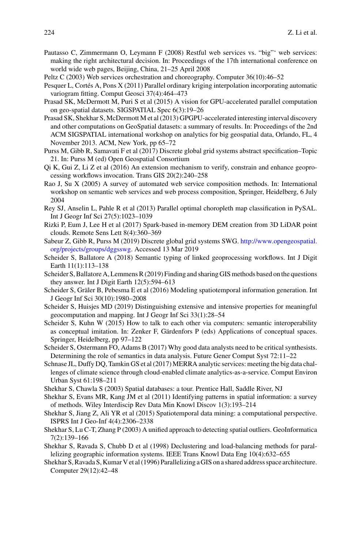- <span id="page-33-20"></span>Pautasso C, Zimmermann O, Leymann F (2008) Restful web services vs. "big" web services: making the right architectural decision. In: Proceedings of the 17th international conference on world wide web pages, Beijing, China, 21–25 April 2008
- <span id="page-33-19"></span>Peltz C (2003) Web services orchestration and choreography. Computer 36(10):46–52
- <span id="page-33-7"></span>Pesquer L, Cortés A, Pons X (2011) Parallel ordinary kriging interpolation incorporating automatic variogram fitting. Comput Geosci 37(4):464–473
- <span id="page-33-11"></span>Prasad SK, McDermott M, Puri S et al (2015) A vision for GPU-accelerated parallel computation on geo-spatial datasets. SIGSPATIAL Spec 6(3):19–26
- <span id="page-33-10"></span>Prasad SK, Shekhar S, McDermott M et al (2013) GPGPU-accelerated interesting interval discovery and other computations on GeoSpatial datasets: a summary of results. In: Proceedings of the 2nd ACM SIGSPATIAL international workshop on analytics for big geospatial data, Orlando, FL, 4 November 2013. ACM, New York, pp 65–72
- <span id="page-33-22"></span>Purss M, Gibb R, Samavati F et al (2017) Discrete global grid systems abstract specification–Topic 21. In: Purss M (ed) Open Geospatial Consortium
- <span id="page-33-21"></span>Qi K, Gui Z, Li Z et al (2016) An extension mechanism to verify, constrain and enhance geoprocessing workflows invocation. Trans GIS 20(2):240–258
- <span id="page-33-17"></span>Rao J, Su X (2005) A survey of automated web service composition methods. In: International workshop on semantic web services and web process composition, Springer, Heidelberg, 6 July 2004
- <span id="page-33-9"></span>Rey SJ, Anselin L, Pahle R et al (2013) Parallel optimal choropleth map classification in PySAL. Int J Geogr Inf Sci 27(5):1023–1039
- <span id="page-33-8"></span>Rizki P, Eum J, Lee H et al (2017) Spark-based in-memory DEM creation from 3D LiDAR point clouds. Remote Sens Lett 8(4):360–369
- <span id="page-33-23"></span>S[abeur Z, Gibb R, Purss M \(2019\) Discrete global grid systems SWG.](http://www.opengeospatial.org/projects/groups/dggsswg) http://www.opengeospatial. org/projects/groups/dggsswg. Accessed 13 Mar 2019
- <span id="page-33-12"></span>Scheider S, Ballatore A (2018) Semantic typing of linked geoprocessing workflows. Int J Digit Earth 11(1):113–138
- <span id="page-33-18"></span>Scheider S, Ballatore A, Lemmens R (2019) Finding and sharing GIS methods based on the questions they answer. Int J Digit Earth 12(5):594–613
- <span id="page-33-13"></span>Scheider S, Gräler B, Pebesma E et al (2016) Modeling spatiotemporal information generation. Int J Geogr Inf Sci 30(10):1980–2008
- <span id="page-33-16"></span>Scheider S, Huisjes MD (2019) Distinguishing extensive and intensive properties for meaningful geocomputation and mapping. Int J Geogr Inf Sci 33(1):28–54
- <span id="page-33-14"></span>Scheider S, Kuhn W (2015) How to talk to each other via computers: semantic interoperability as conceptual imitation. In: Zenker F, Gärdenfors P (eds) Applications of conceptual spaces. Springer, Heidelberg, pp 97–122
- <span id="page-33-15"></span>Scheider S, Ostermann FO, Adams B (2017) Why good data analysts need to be critical synthesists. Determining the role of semantics in data analysis. Future Gener Comput Syst 72:11–22
- <span id="page-33-0"></span>Schnase JL, Duffy DQ, Tamkin GS et al (2017) MERRA analytic services: meeting the big data challenges of climate science through cloud-enabled climate analytics-as-a-service. Comput Environ Urban Syst 61:198–211
- <span id="page-33-1"></span>Shekhar S, Chawla S (2003) Spatial databases: a tour. Prentice Hall, Saddle River, NJ
- <span id="page-33-4"></span>Shekhar S, Evans MR, Kang JM et al (2011) Identifying patterns in spatial information: a survey of methods. Wiley Interdiscip Rev Data Min Knowl Discov 1(3):193–214
- <span id="page-33-2"></span>Shekhar S, Jiang Z, Ali YR et al (2015) Spatiotemporal data mining: a computational perspective. ISPRS Int J Geo-Inf 4(4):2306–2338
- <span id="page-33-3"></span>Shekhar S, Lu C-T, Zhang P (2003) A unified approach to detecting spatial outliers. GeoInformatica 7(2):139–166
- <span id="page-33-6"></span>Shekhar S, Ravada S, Chubb D et al (1998) Declustering and load-balancing methods for parallelizing geographic information systems. IEEE Trans Knowl Data Eng 10(4):632–655
- <span id="page-33-5"></span>Shekhar S, Ravada S, Kumar V et al (1996) Parallelizing a GIS on a shared address space architecture. Computer 29(12):42–48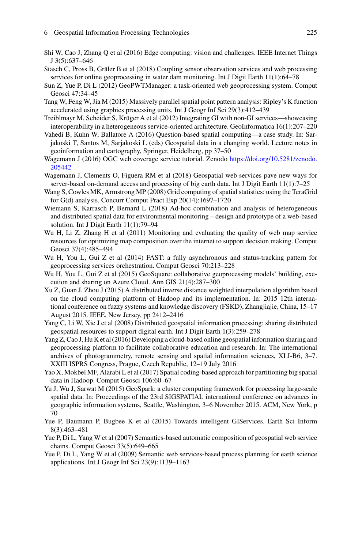- <span id="page-34-0"></span>Shi W, Cao J, Zhang Q et al (2016) Edge computing: vision and challenges. IEEE Internet Things J 3(5):637–646
- <span id="page-34-10"></span>Stasch C, Pross B, Gräler B et al (2018) Coupling sensor observation services and web processing services for online geoprocessing in water dam monitoring. Int J Digit Earth 11(1):64–78
- <span id="page-34-18"></span>Sun Z, Yue P, Di L (2012) GeoPWTManager: a task-oriented web geoprocessing system. Comput Geosci 47:34–45
- <span id="page-34-5"></span>Tang W, Feng W, Jia M (2015) Massively parallel spatial point pattern analysis: Ripley's K function accelerated using graphics processing units. Int J Geogr Inf Sci 29(3):412–439
- <span id="page-34-11"></span>Treiblmayr M, Scheider S, Krüger A et al (2012) Integrating GI with non-GI services—showcasing interoperability in a heterogeneous service-oriented architecture. GeoInformatica 16(1):207–220
- <span id="page-34-13"></span>Vahedi B, Kuhn W, Ballatore A (2016) Question-based spatial computing—a case study. In: Sarjakoski T, Santos M, Sarjakoski L (eds) Geospatial data in a changing world. Lecture notes in geoinformation and cartography, Springer, Heidelberg, pp 37–50
- <span id="page-34-7"></span>[Wagemann J \(2016\) OGC web coverage service tutorial. Zenodo](https://doi.org/10.5281/zenodo.205442) https://doi.org/10.5281/zenodo. 205442
- <span id="page-34-8"></span>Wagemann J, Clements O, Figuera RM et al (2018) Geospatial web services pave new ways for server-based on-demand access and processing of big earth data. Int J Digit Earth 11(1):7–25
- <span id="page-34-3"></span>Wang S, Cowles MK, Armstrong MP (2008) Grid computing of spatial statistics: using the TeraGrid for G(d) analysis. Concurr Comput Pract Exp 20(14):1697–1720
- <span id="page-34-9"></span>Wiemann S, Karrasch P, Bernard L (2018) Ad-hoc combination and analysis of heterogeneous and distributed spatial data for environmental monitoring – design and prototype of a web-based solution. Int J Digit Earth 11(1):79–94
- <span id="page-34-17"></span>Wu H, Li Z, Zhang H et al (2011) Monitoring and evaluating the quality of web map service resources for optimizing map composition over the internet to support decision making. Comput Geosci 37(4):485–494
- <span id="page-34-16"></span>Wu H, You L, Gui Z et al (2014) FAST: a fully asynchronous and status-tracking pattern for geoprocessing services orchestration. Comput Geosci 70:213–228
- <span id="page-34-15"></span>Wu H, You L, Gui Z et al (2015) GeoSquare: collaborative geoprocessing models' building, execution and sharing on Azure Cloud. Ann GIS 21(4):287–300
- <span id="page-34-4"></span>Xu Z, Guan J, Zhou J (2015) A distributed inverse distance weighted interpolation algorithm based on the cloud computing platform of Hadoop and its implementation. In: 2015 12th international conference on fuzzy systems and knowledge discovery (FSKD), Zhangjiajie, China, 15–17 August 2015. IEEE, New Jersey, pp 2412–2416
- <span id="page-34-14"></span>Yang C, Li W, Xie J et al (2008) Distributed geospatial information processing: sharing distributed geospatial resources to support digital earth. Int J Digit Earth 1(3):259–278
- <span id="page-34-19"></span>Yang Z, Cao J, Hu K et al (2016) Developing a cloud-based online geospatial information sharing and geoprocessing platform to facilitate collaborative education and research. In: The international archives of photogrammetry, remote sensing and spatial information sciences, XLI-B6, 3–7. XXIII ISPRS Congress, Prague, Czech Republic, 12–19 July 2016
- <span id="page-34-1"></span>Yao X, Mokbel MF, Alarabi L et al (2017) Spatial coding-based approach for partitioning big spatial data in Hadoop. Comput Geosci 106:60–67
- <span id="page-34-2"></span>Yu J, Wu J, Sarwat M (2015) GeoSpark: a cluster computing framework for processing large-scale spatial data. In: Proceedings of the 23rd SIGSPATIAL international conference on advances in geographic information systems, Seattle, Washington, 3–6 November 2015. ACM, New York, p 70
- <span id="page-34-6"></span>Yue P, Baumann P, Bugbee K et al (2015) Towards intelligent GIServices. Earth Sci Inform 8(3):463–481
- <span id="page-34-12"></span>Yue P, Di L, Yang W et al (2007) Semantics-based automatic composition of geospatial web service chains. Comput Geosci 33(5):649–665
- <span id="page-34-20"></span>Yue P, Di L, Yang W et al (2009) Semantic web services-based process planning for earth science applications. Int J Geogr Inf Sci 23(9):1139–1163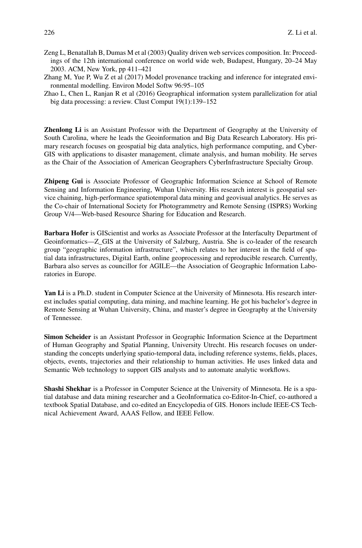- <span id="page-35-1"></span>Zeng L, Benatallah B, Dumas M et al (2003) Quality driven web services composition. In: Proceedings of the 12th international conference on world wide web, Budapest, Hungary, 20–24 May 2003. ACM, New York, pp 411–421
- <span id="page-35-2"></span>Zhang M, Yue P, Wu Z et al (2017) Model provenance tracking and inference for integrated environmental modelling. Environ Model Softw 96:95–105
- <span id="page-35-0"></span>Zhao L, Chen L, Ranjan R et al (2016) Geographical information system parallelization for atial big data processing: a review. Clust Comput 19(1):139–152

**Zhenlong Li** is an Assistant Professor with the Department of Geography at the University of South Carolina, where he leads the Geoinformation and Big Data Research Laboratory. His primary research focuses on geospatial big data analytics, high performance computing, and Cyber-GIS with applications to disaster management, climate analysis, and human mobility. He serves as the Chair of the Association of American Geographers CyberInfrastructure Specialty Group.

**Zhipeng Gui** is Associate Professor of Geographic Information Science at School of Remote Sensing and Information Engineering, Wuhan University. His research interest is geospatial service chaining, high-performance spatiotemporal data mining and geovisual analytics. He serves as the Co-chair of International Society for Photogrammetry and Remote Sensing (ISPRS) Working Group V/4—Web-based Resource Sharing for Education and Research.

**Barbara Hofer** is GIScientist and works as Associate Professor at the Interfaculty Department of Geoinformatics—Z\_GIS at the University of Salzburg, Austria. She is co-leader of the research group "geographic information infrastructure", which relates to her interest in the field of spatial data infrastructures, Digital Earth, online geoprocessing and reproducible research. Currently, Barbara also serves as councillor for AGILE—the Association of Geographic Information Laboratories in Europe.

**Yan Li** is a Ph.D. student in Computer Science at the University of Minnesota. His research interest includes spatial computing, data mining, and machine learning. He got his bachelor's degree in Remote Sensing at Wuhan University, China, and master's degree in Geography at the University of Tennessee.

**Simon Scheider** is an Assistant Professor in Geographic Information Science at the Department of Human Geography and Spatial Planning, University Utrecht. His research focuses on understanding the concepts underlying spatio-temporal data, including reference systems, fields, places, objects, events, trajectories and their relationship to human activities. He uses linked data and Semantic Web technology to support GIS analysts and to automate analytic workflows.

**Shashi Shekhar** is a Professor in Computer Science at the University of Minnesota. He is a spatial database and data mining researcher and a GeoInformatica co-Editor-In-Chief, co-authored a textbook Spatial Database, and co-edited an Encyclopedia of GIS. Honors include IEEE-CS Technical Achievement Award, AAAS Fellow, and IEEE Fellow.